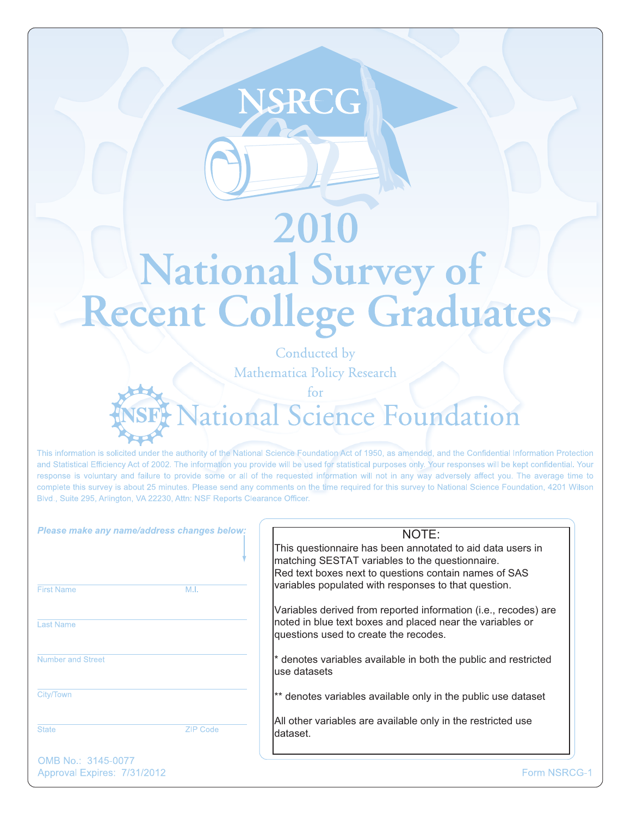# 2010 National Survey of Conducted by

**NSREG** 

Mathematica Policy Research

 $for$ 

This information is solicited under the authority of the National Science Foundation Act of 1950, as amended, and the Confidential Information Protection and Statistical Efficiency Act of 2002. The information you provide will be used for statistical purposes only. Your responses will be kept confidential. Your response is voluntary and failure to provide some or all of the requested information will not in any way adversely affect you. The average time to complete this survey is about 25 minutes. Please send any comments on the time required for this survey to National Science Foundation, 4201 Wilson Blvd., Suite 295, Arlington, VA 22230, Attn: NSF Reports Clearance Officer.

Please make any name/address changes below:

| <b>First Name</b>        | M.I.            |
|--------------------------|-----------------|
| <b>Last Name</b>         |                 |
| <b>Number and Street</b> |                 |
| City/Town                |                 |
| <b>State</b>             | <b>ZIP Code</b> |

#### NOTE:

 $711r$ 

This questionnaire has been annotated to aid data users in matching SESTAT variables to the questionnaire. Red text boxes next to questions contain names of SAS variables populated with responses to that question.

Variables derived from reported information (i.e., recodes) are noted in blue text boxes and placed near the variables or questions used to create the recodes.

\* denotes variables available in both the public and restricted use datasets

\*\* denotes variables available only in the public use dataset

All other variables are available only in the restricted use dataset.

OMB No.: 3145-0077 Approval Expires: 7/31/2012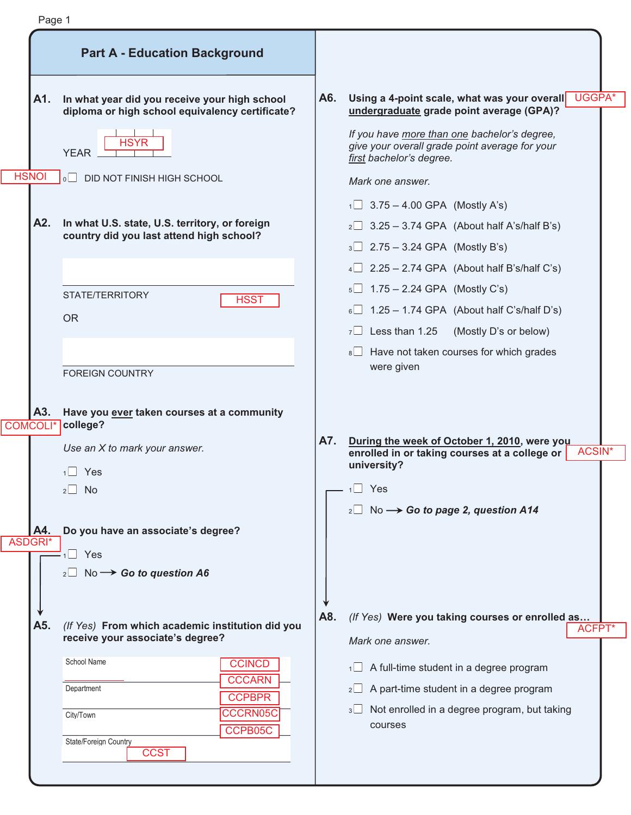|                        | <b>Part A - Education Background</b>                                                                                  |     |                                                                                                                                                  |
|------------------------|-----------------------------------------------------------------------------------------------------------------------|-----|--------------------------------------------------------------------------------------------------------------------------------------------------|
| A1.                    | In what year did you receive your high school<br>diploma or high school equivalency certificate?                      | A6. | Using a 4-point scale, what was your overall UGGPA*<br>undergraduate grade point average (GPA)?                                                  |
|                        | <b>HSYR</b><br><b>YEAR</b>                                                                                            |     | If you have more than one bachelor's degree,<br>give your overall grade point average for your<br>first bachelor's degree.                       |
| <b>HSNOI</b>           | $\circ$  <br>DID NOT FINISH HIGH SCHOOL                                                                               |     | Mark one answer.                                                                                                                                 |
|                        |                                                                                                                       |     | $1 \square$ 3.75 – 4.00 GPA (Mostly A's)                                                                                                         |
| A2.                    | In what U.S. state, U.S. territory, or foreign                                                                        |     | $2 \square$ 3.25 - 3.74 GPA (About half A's/half B's)                                                                                            |
|                        | country did you last attend high school?                                                                              |     | $3 \square$ 2.75 – 3.24 GPA (Mostly B's)                                                                                                         |
|                        |                                                                                                                       |     | $4 \square$ 2.25 - 2.74 GPA (About half B's/half C's)                                                                                            |
|                        | STATE/TERRITORY                                                                                                       |     | $5\Box$ 1.75 – 2.24 GPA (Mostly C's)                                                                                                             |
|                        | <b>HSST</b><br><b>OR</b>                                                                                              |     | $6\Box$ 1.25 – 1.74 GPA (About half C's/half D's)                                                                                                |
|                        |                                                                                                                       |     | $7 \Box$ Less than 1.25<br>(Mostly D's or below)                                                                                                 |
|                        |                                                                                                                       |     | 8 Have not taken courses for which grades                                                                                                        |
|                        | <b>FOREIGN COUNTRY</b>                                                                                                |     | were given                                                                                                                                       |
| A3.<br><b>COMCOLI*</b> | Have you ever taken courses at a community<br>college?<br>Use an X to mark your answer.<br>$1 \square$ Yes<br>No<br>2 | A7. | During the week of October 1, 2010, were you<br><b>ACSIN*</b><br>enrolled in or taking courses at a college or<br>university?<br>$1 \square$ Yes |
|                        |                                                                                                                       |     | $_2\square$ No $\longrightarrow$ Go to page 2, question A14                                                                                      |
| A4.                    | Do you have an associate's degree?                                                                                    |     |                                                                                                                                                  |
|                        |                                                                                                                       |     |                                                                                                                                                  |
| <b>ASDGRI*</b>         | $1 \square$ Yes                                                                                                       |     |                                                                                                                                                  |
|                        | $_2\square$ No $\rightarrow$ Go to question A6                                                                        |     |                                                                                                                                                  |
|                        |                                                                                                                       | A8. | (If Yes) Were you taking courses or enrolled as                                                                                                  |
| A5.                    | (If Yes) From which academic institution did you<br>receive your associate's degree?                                  |     | Mark one answer.                                                                                                                                 |
|                        | School Name<br><b>CCINCD</b>                                                                                          |     | ACFP <sub>T</sub> *<br>$\sqrt{1}$ A full-time student in a degree program                                                                        |
|                        | <b>CCCARN</b><br>Department                                                                                           |     | A part-time student in a degree program<br>$2\Box$                                                                                               |
|                        | <b>CCPBPR</b>                                                                                                         |     | Not enrolled in a degree program, but taking<br>$3\Box$                                                                                          |
|                        | <b>CCCRN05C</b><br>City/Town<br>CCPB05C<br>State/Foreign Country                                                      |     | courses                                                                                                                                          |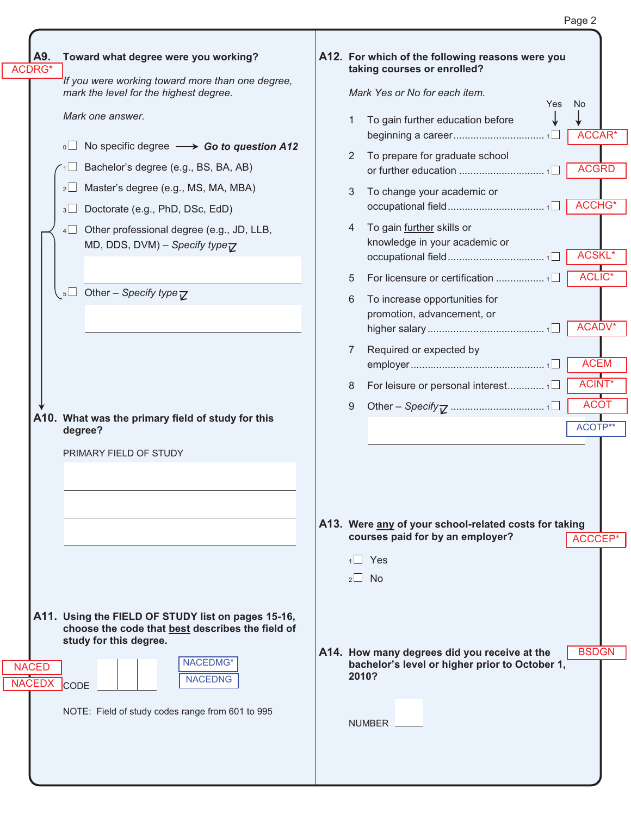| Toward what degree were you working?<br>If you were working toward more than one degree,<br>mark the level for the highest degree.<br>Mark one answer.<br>No specific degree $\longrightarrow$ Go to question A12<br>Bachelor's degree (e.g., BS, BA, AB)<br>Master's degree (e.g., MS, MA, MBA)<br>Doctorate (e.g., PhD, DSc, EdD)<br>Other professional degree (e.g., JD, LLB,<br>MD, DDS, DVM) – Specify type $\nabla$<br>$\sqrt{5}$ Other – Specify type $\overline{V}$ | 2<br>3<br>4<br>5<br>6 | A12. For which of the following reasons were you<br>taking courses or enrolled?<br>Mark Yes or No for each item.<br>Yes<br>To gain further education before<br>To prepare for graduate school<br>To change your academic or<br>To gain further skills or<br>knowledge in your academic or<br>To increase opportunities for | No.<br>ACCAR*<br><b>ACGRD</b><br>ACCHG*<br>ACSKL*<br>ACLIC <sup>*</sup>                                                                                                                                                                               |
|-----------------------------------------------------------------------------------------------------------------------------------------------------------------------------------------------------------------------------------------------------------------------------------------------------------------------------------------------------------------------------------------------------------------------------------------------------------------------------|-----------------------|----------------------------------------------------------------------------------------------------------------------------------------------------------------------------------------------------------------------------------------------------------------------------------------------------------------------------|-------------------------------------------------------------------------------------------------------------------------------------------------------------------------------------------------------------------------------------------------------|
|                                                                                                                                                                                                                                                                                                                                                                                                                                                                             |                       |                                                                                                                                                                                                                                                                                                                            |                                                                                                                                                                                                                                                       |
|                                                                                                                                                                                                                                                                                                                                                                                                                                                                             |                       |                                                                                                                                                                                                                                                                                                                            |                                                                                                                                                                                                                                                       |
|                                                                                                                                                                                                                                                                                                                                                                                                                                                                             |                       |                                                                                                                                                                                                                                                                                                                            |                                                                                                                                                                                                                                                       |
|                                                                                                                                                                                                                                                                                                                                                                                                                                                                             |                       |                                                                                                                                                                                                                                                                                                                            |                                                                                                                                                                                                                                                       |
|                                                                                                                                                                                                                                                                                                                                                                                                                                                                             |                       |                                                                                                                                                                                                                                                                                                                            |                                                                                                                                                                                                                                                       |
|                                                                                                                                                                                                                                                                                                                                                                                                                                                                             |                       |                                                                                                                                                                                                                                                                                                                            |                                                                                                                                                                                                                                                       |
|                                                                                                                                                                                                                                                                                                                                                                                                                                                                             |                       |                                                                                                                                                                                                                                                                                                                            |                                                                                                                                                                                                                                                       |
|                                                                                                                                                                                                                                                                                                                                                                                                                                                                             |                       |                                                                                                                                                                                                                                                                                                                            |                                                                                                                                                                                                                                                       |
|                                                                                                                                                                                                                                                                                                                                                                                                                                                                             |                       | promotion, advancement, or                                                                                                                                                                                                                                                                                                 | ACADV*                                                                                                                                                                                                                                                |
|                                                                                                                                                                                                                                                                                                                                                                                                                                                                             | 7                     | Required or expected by                                                                                                                                                                                                                                                                                                    | <b>ACEM</b>                                                                                                                                                                                                                                           |
|                                                                                                                                                                                                                                                                                                                                                                                                                                                                             | 8                     | For leisure or personal interest1                                                                                                                                                                                                                                                                                          | ACINT*                                                                                                                                                                                                                                                |
| A10. What was the primary field of study for this                                                                                                                                                                                                                                                                                                                                                                                                                           | 9                     |                                                                                                                                                                                                                                                                                                                            | <b>ACOT</b>                                                                                                                                                                                                                                           |
| degree?                                                                                                                                                                                                                                                                                                                                                                                                                                                                     |                       |                                                                                                                                                                                                                                                                                                                            | ACOTP**                                                                                                                                                                                                                                               |
| PRIMARY FIELD OF STUDY                                                                                                                                                                                                                                                                                                                                                                                                                                                      |                       |                                                                                                                                                                                                                                                                                                                            | ACCCEP*                                                                                                                                                                                                                                               |
|                                                                                                                                                                                                                                                                                                                                                                                                                                                                             |                       |                                                                                                                                                                                                                                                                                                                            |                                                                                                                                                                                                                                                       |
| A11. Using the FIELD OF STUDY list on pages 15-16,<br>choose the code that best describes the field of<br>study for this degree.                                                                                                                                                                                                                                                                                                                                            |                       |                                                                                                                                                                                                                                                                                                                            | <b>BSDGN</b>                                                                                                                                                                                                                                          |
| NACEDMG*<br><b>NACEDNG</b><br><b>CODE</b>                                                                                                                                                                                                                                                                                                                                                                                                                                   |                       |                                                                                                                                                                                                                                                                                                                            |                                                                                                                                                                                                                                                       |
| NOTE: Field of study codes range from 601 to 995                                                                                                                                                                                                                                                                                                                                                                                                                            |                       |                                                                                                                                                                                                                                                                                                                            |                                                                                                                                                                                                                                                       |
|                                                                                                                                                                                                                                                                                                                                                                                                                                                                             |                       |                                                                                                                                                                                                                                                                                                                            | A13. Were any of your school-related costs for taking<br>courses paid for by an employer?<br>$1 \square$ Yes<br>$2 \square$ No<br>A14. How many degrees did you receive at the<br>bachelor's level or higher prior to October 1,<br>2010?<br>NUMBER _ |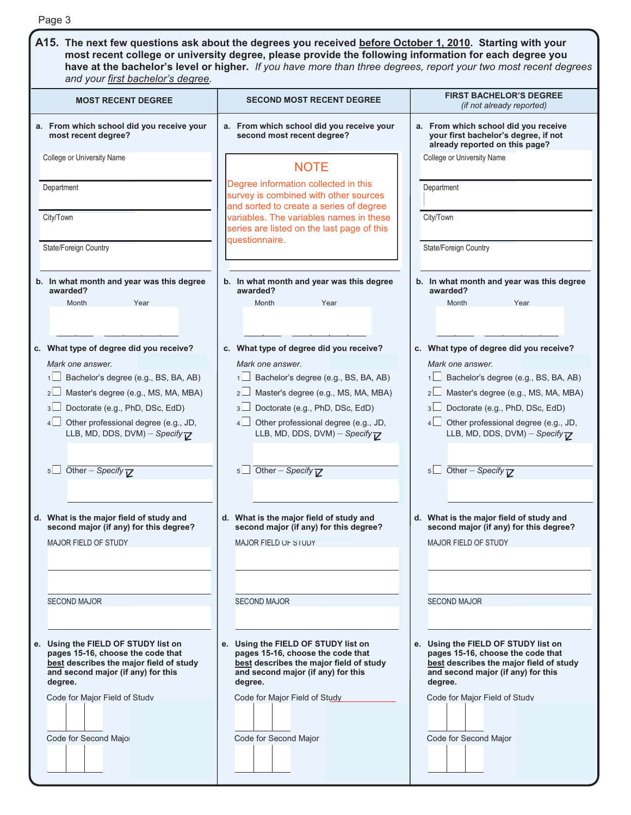| A15. The next few questions ask about the degrees you received before October 1, 2010. Starting with your<br>most recent college or university degree, please provide the following information for each degree you<br>have at the bachelor's level or higher. If you have more than three degrees, report your two most recent degrees<br><b>FIRST BACHELOR'S DEGREE</b><br>(if not already reported)<br>a. From which school did you receive<br>your first bachelor's degree, if not<br>already reported on this page?<br>College or University Name |
|--------------------------------------------------------------------------------------------------------------------------------------------------------------------------------------------------------------------------------------------------------------------------------------------------------------------------------------------------------------------------------------------------------------------------------------------------------------------------------------------------------------------------------------------------------|
|                                                                                                                                                                                                                                                                                                                                                                                                                                                                                                                                                        |
|                                                                                                                                                                                                                                                                                                                                                                                                                                                                                                                                                        |
|                                                                                                                                                                                                                                                                                                                                                                                                                                                                                                                                                        |
|                                                                                                                                                                                                                                                                                                                                                                                                                                                                                                                                                        |
| Department                                                                                                                                                                                                                                                                                                                                                                                                                                                                                                                                             |
| City/Town                                                                                                                                                                                                                                                                                                                                                                                                                                                                                                                                              |
| State/Foreign Country                                                                                                                                                                                                                                                                                                                                                                                                                                                                                                                                  |
| b. In what month and year was this degree<br>awarded?<br>Month<br>Year                                                                                                                                                                                                                                                                                                                                                                                                                                                                                 |
| c. What type of degree did you receive?                                                                                                                                                                                                                                                                                                                                                                                                                                                                                                                |
| Mark one answer.<br>Bachelor's degree (e.g., BS, BA, AB)<br>1                                                                                                                                                                                                                                                                                                                                                                                                                                                                                          |
| Master's degree (e.g., MS, MA, MBA)<br>$2\Box$                                                                                                                                                                                                                                                                                                                                                                                                                                                                                                         |
| Doctorate (e.g., PhD, DSc, EdD)<br>3                                                                                                                                                                                                                                                                                                                                                                                                                                                                                                                   |
| Other professional degree (e.g., JD,<br>$4\Box$                                                                                                                                                                                                                                                                                                                                                                                                                                                                                                        |
| LLB, MD, DDS, DVM) - Specify $\nabla$                                                                                                                                                                                                                                                                                                                                                                                                                                                                                                                  |
| 5<br>Other – Specify $\nabla$                                                                                                                                                                                                                                                                                                                                                                                                                                                                                                                          |
|                                                                                                                                                                                                                                                                                                                                                                                                                                                                                                                                                        |
| d. What is the major field of study and<br>second major (if any) for this degree?                                                                                                                                                                                                                                                                                                                                                                                                                                                                      |
| <b>MAJOR FIELD OF STUDY</b>                                                                                                                                                                                                                                                                                                                                                                                                                                                                                                                            |
|                                                                                                                                                                                                                                                                                                                                                                                                                                                                                                                                                        |
|                                                                                                                                                                                                                                                                                                                                                                                                                                                                                                                                                        |
| <b>SECOND MAJOR</b>                                                                                                                                                                                                                                                                                                                                                                                                                                                                                                                                    |
| e. Using the FIELD OF STUDY list on<br>pages 15-16, choose the code that<br>best describes the major field of study<br>and second major (if any) for this<br>degree.<br>Code for Major Field of Study                                                                                                                                                                                                                                                                                                                                                  |
|                                                                                                                                                                                                                                                                                                                                                                                                                                                                                                                                                        |
| Code for Second Major                                                                                                                                                                                                                                                                                                                                                                                                                                                                                                                                  |
|                                                                                                                                                                                                                                                                                                                                                                                                                                                                                                                                                        |
|                                                                                                                                                                                                                                                                                                                                                                                                                                                                                                                                                        |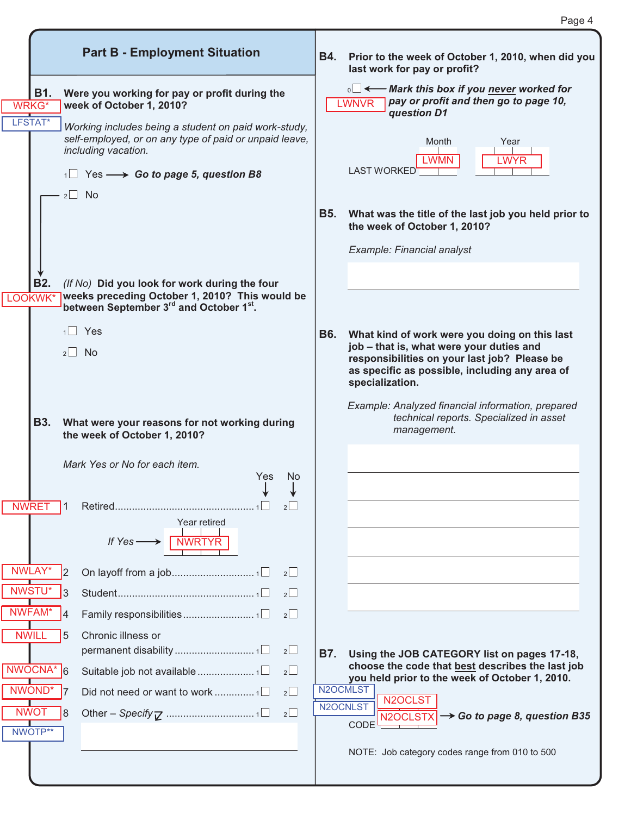|                        |                                                                                                                                       |            | Page 4                                                                                                                         |
|------------------------|---------------------------------------------------------------------------------------------------------------------------------------|------------|--------------------------------------------------------------------------------------------------------------------------------|
|                        | <b>Part B - Employment Situation</b>                                                                                                  | <b>B4.</b> | Prior to the week of October 1, 2010, when did you<br>last work for pay or profit?                                             |
| B1.<br><b>WRKG*</b>    | Were you working for pay or profit during the<br>week of October 1, 2010?                                                             |            | <sub>0</sub> □ ← Mark this box if you never worked for<br>pay or profit and then go to page 10,<br><b>LWNVR</b><br>question D1 |
| LFSTAT <sup>*</sup>    | Working includes being a student on paid work-study,<br>self-employed, or on any type of paid or unpaid leave,<br>including vacation. |            | Month<br>Year<br><b>LWMN</b><br><b>LWYR</b>                                                                                    |
|                        | $\sqrt{1}$ Yes $\longrightarrow$ Go to page 5, question B8                                                                            |            | <b>LAST WORKED</b>                                                                                                             |
|                        | $2 \square$ No                                                                                                                        | <b>B5.</b> | What was the title of the last job you held prior to<br>the week of October 1, 2010?                                           |
|                        |                                                                                                                                       |            | Example: Financial analyst                                                                                                     |
| <b>B2.</b>             | (If No) Did you look for work during the four                                                                                         |            |                                                                                                                                |
| LOOKWK*                | weeks preceding October 1, 2010? This would be<br>between September 3rd and October 1st.                                              |            |                                                                                                                                |
|                        | $1$ Yes                                                                                                                               | <b>B6.</b> | What kind of work were you doing on this last<br>job - that is, what were your duties and                                      |
|                        | $2 \Box$ No                                                                                                                           |            | responsibilities on your last job? Please be<br>as specific as possible, including any area of<br>specialization.              |
| <b>B3.</b>             | What were your reasons for not working during<br>the week of October 1, 2010?                                                         |            | Example: Analyzed financial information, prepared<br>technical reports. Specialized in asset<br>management.                    |
|                        | Mark Yes or No for each item.<br>Yes No                                                                                               |            |                                                                                                                                |
| <b>NWRET</b>           | 2                                                                                                                                     |            |                                                                                                                                |
|                        | Year retired<br>If $Yes \longrightarrow \Box$ NWRTYR                                                                                  |            |                                                                                                                                |
| NWLAY*                 | 2                                                                                                                                     |            |                                                                                                                                |
| NWSTU*                 | $2\Box$<br>3                                                                                                                          |            |                                                                                                                                |
| NWFAM*<br><b>NWIL</b>  | $2\Box$<br>4<br>Chronic illness or<br>5                                                                                               |            |                                                                                                                                |
|                        | 2                                                                                                                                     | B7.        | Using the JOB CATEGORY list on pages 17-18,                                                                                    |
| NWOCNA*                | 2                                                                                                                                     |            | choose the code that best describes the last job<br>you held prior to the week of October 1, 2010.                             |
| NWOND*                 | $2\Box$<br>Did not need or want to work  1□                                                                                           |            | N2OCMLST<br>N2OCLST<br>N2OCNLST                                                                                                |
| <b>NWOT</b><br>NWOTP** | $2\Box$<br>8                                                                                                                          |            | $N2OCLSTX$ $\rightarrow$ Go to page 8, question B35<br>CODE                                                                    |
|                        |                                                                                                                                       |            | NOTE: Job category codes range from 010 to 500                                                                                 |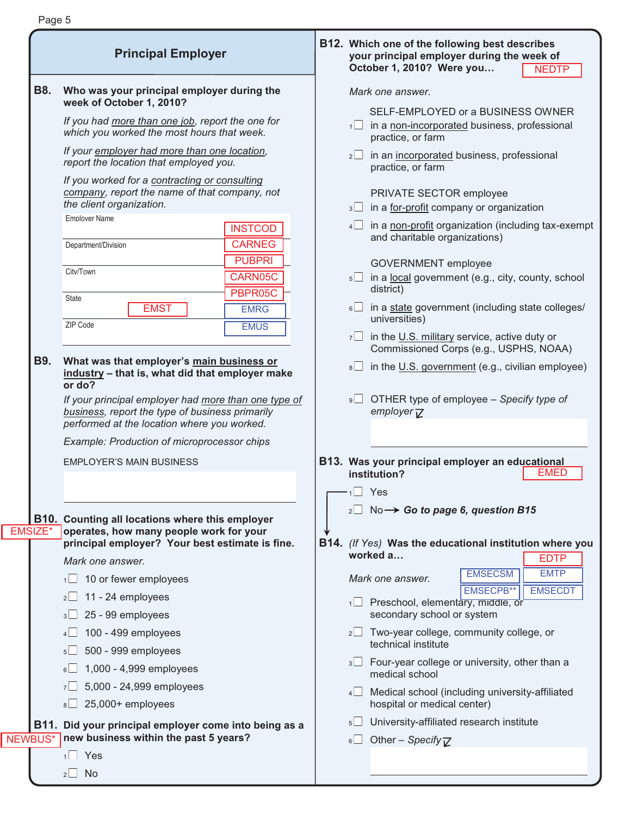|                | <b>Principal Employer</b>                                                                                                                              | B12. Which one of the following best describes<br>your principal employer during the week of<br>October 1, 2010? Were you<br><b>NEDTP</b> |
|----------------|--------------------------------------------------------------------------------------------------------------------------------------------------------|-------------------------------------------------------------------------------------------------------------------------------------------|
| <b>B8.</b>     | Who was your principal employer during the<br>week of October 1, 2010?                                                                                 | Mark one answer.                                                                                                                          |
|                | If you had more than one job, report the one for                                                                                                       | SELF-EMPLOYED or a BUSINESS OWNER<br>$\frac{1}{1}$ in a <u>non-incorporated</u> business, professional                                    |
|                | which you worked the most hours that week.<br>If your employer had more than one location,<br>report the location that employed you.                   | practice, or farm<br>$2 \Box$ in an incorporated business, professional                                                                   |
|                | If you worked for a contracting or consulting<br>company, report the name of that company, not                                                         | practice, or farm<br>PRIVATE SECTOR employee                                                                                              |
|                | the client organization.                                                                                                                               | in a for-profit company or organization<br>3                                                                                              |
|                | <b>Emplover Name</b><br><b>INSTCOD</b><br><b>CARNEG</b><br>Department/Division                                                                         | $4\Box$ in a non-profit organization (including tax-exempt<br>and charitable organizations)                                               |
|                | <b>PUBPRI</b>                                                                                                                                          | <b>GOVERNMENT</b> employee                                                                                                                |
|                | City/Town<br>CARN05C<br>PBPR05C                                                                                                                        | in a local government (e.g., city, county, school<br>5<br>district)                                                                       |
|                | State<br><b>EMST</b><br><b>EMRG</b><br>ZIP Code<br><b>EMUS</b>                                                                                         | $\frac{1}{2}$ in a state government (including state colleges/<br>universities)                                                           |
|                |                                                                                                                                                        | $7\Box$ in the U.S. military service, active duty or<br>Commissioned Corps (e.g., USPHS, NOAA)                                            |
| <b>B9.</b>     | What was that employer's main business or<br>industry - that is, what did that employer make<br>or do?                                                 | $\overline{\bullet}$ in the U.S. government (e.g., civilian employee)                                                                     |
|                | If your principal employer had more than one type of<br>business, report the type of business primarily<br>performed at the location where you worked. | OTHER type of employee - Specify type of<br>9<br>employer <sub><math>\bar{V}</math></sub>                                                 |
|                | Example: Production of microprocessor chips                                                                                                            |                                                                                                                                           |
|                | <b>EMPLOYER'S MAIN BUSINESS</b>                                                                                                                        | B13. Was your principal employer an educational<br><b>EMED</b><br>institution?                                                            |
|                |                                                                                                                                                        | $\sqrt{1}$ Yes                                                                                                                            |
| EMSIZE*        | B10. Counting all locations where this employer<br>operates, how many people work for your                                                             | $_2\Box$ No $\rightarrow$ Go to page 6, question B15                                                                                      |
|                | principal employer? Your best estimate is fine.                                                                                                        | B14. (If Yes) Was the educational institution where you<br>worked a<br><b>EDTP</b>                                                        |
|                | Mark one answer.                                                                                                                                       | <b>EMTP</b><br><b>EMSECSM</b>                                                                                                             |
|                | 10 or fewer employees<br>$1 \Box$                                                                                                                      | Mark one answer.<br>EMSECPB**<br><b>EMSECDT</b>                                                                                           |
|                | $2 \cup 11 - 24$ employees                                                                                                                             | 1□ Preschool, elementary, middle, or                                                                                                      |
|                | $3 \square$ 25 - 99 employees                                                                                                                          | secondary school or system<br>$2 \Box$ Two-year college, community college, or                                                            |
|                | 100 - 499 employees<br>500 - 999 employees                                                                                                             | technical institute                                                                                                                       |
|                | $5\Box$<br>$6\Box$ 1,000 - 4,999 employees                                                                                                             | 3 Four-year college or university, other than a<br>medical school                                                                         |
|                | 5,000 - 24,999 employees<br>7                                                                                                                          | Medical school (including university-affiliated<br>4                                                                                      |
|                | 25,000+ employees<br>$8\Box$                                                                                                                           | hospital or medical center)                                                                                                               |
|                | B11. Did your principal employer come into being as a                                                                                                  | University-affiliated research institute<br>$5\Box$                                                                                       |
| <b>NEWBUS*</b> | new business within the past 5 years?                                                                                                                  | Other - Specify $\nabla$<br>$6\Box$                                                                                                       |
|                | $1 \square$ Yes                                                                                                                                        |                                                                                                                                           |
|                | $2 \Box$ No                                                                                                                                            |                                                                                                                                           |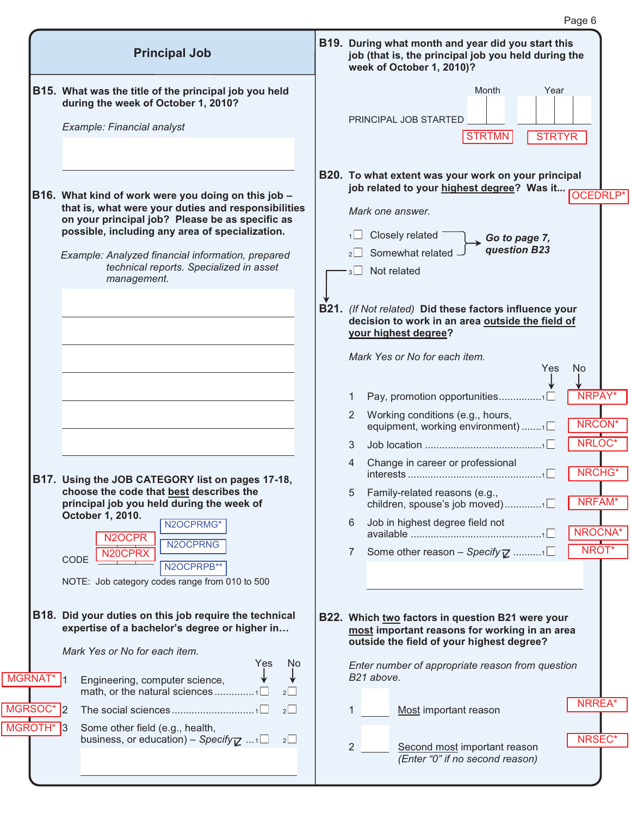|                                    | <b>Principal Job</b>                                                                                                                                           | B19. During what month and year did you start this<br>job (that is, the principal job you held during the<br>week of October 1, 2010)?                              |
|------------------------------------|----------------------------------------------------------------------------------------------------------------------------------------------------------------|---------------------------------------------------------------------------------------------------------------------------------------------------------------------|
|                                    | B15. What was the title of the principal job you held<br>during the week of October 1, 2010?<br>Example: Financial analyst                                     | Month<br>Year<br>PRINCIPAL JOB STARTED                                                                                                                              |
|                                    | B16. What kind of work were you doing on this job -<br>that is, what were your duties and responsibilities<br>on your principal job? Please be as specific as  | <b>STRTMN</b><br><b>STRTYR</b><br>B20. To what extent was your work on your principal<br>job related to your highest degree? Was it<br>OCEDRLP*<br>Mark one answer. |
|                                    | possible, including any area of specialization.<br>Example: Analyzed financial information, prepared<br>technical reports. Specialized in asset<br>management. | Closely related<br>1<br>Go to page 7,<br>question B23<br>Somewhat related<br>Not related<br>3                                                                       |
|                                    |                                                                                                                                                                | B21. (If Not related) Did these factors influence your<br>decision to work in an area outside the field of<br>your highest degree?<br>Mark Yes or No for each item. |
|                                    |                                                                                                                                                                | Yes<br><b>No</b><br>NRPAY'<br>Pay, promotion opportunities1<br>1<br>Working conditions (e.g., hours,<br>2<br><b>NRCON</b><br>equipment, working environment) 1      |
|                                    | B17. Using the JOB CATEGORY list on pages 17-18,                                                                                                               | NRLOC*<br>3<br>Change in career or professional<br>4<br>NRCHG*<br>1                                                                                                 |
|                                    | choose the code that best describes the<br>principal job you held during the week of<br>October 1, 2010.                                                       | 5<br>Family-related reasons (e.g.,<br>NRFAM*<br>children, spouse's job moved)1                                                                                      |
|                                    | N2OCPRMG*<br>N <sub>2</sub> OCPR                                                                                                                               | Job in highest degree field not<br>6<br>NROCNA*                                                                                                                     |
|                                    | N2OCPRNG<br>N <sub>20</sub> CPRX<br>CODE<br>N2OCPRPB**<br>NOTE: Job category codes range from 010 to 500                                                       | NROT*<br>Some other reason - Specify $\mathbb Z$ 1<br>7                                                                                                             |
|                                    | B18. Did your duties on this job require the technical<br>expertise of a bachelor's degree or higher in<br>Mark Yes or No for each item.                       | B22. Which two factors in question B21 were your<br>most important reasons for working in an area<br>outside the field of your highest degree?                      |
| MGRNAT*                            | Yes<br>Ņо<br>Engineering, computer science,<br>math, or the natural sciences 1 $\square$<br>2                                                                  | Enter number of appropriate reason from question<br>B21 above.                                                                                                      |
| MGRSOC* 2<br>MGROTH <sup>*</sup> 3 | $2\Box$<br>Some other field (e.g., health,<br>business, or education) – Specify $\mathbb{Z}$ $1\Box$<br>$2\Box$                                                | <b>NRREA</b><br>Most important reason<br>NRSEC*                                                                                                                     |
|                                    |                                                                                                                                                                | 2<br>Second most important reason<br>(Enter "0" if no second reason)                                                                                                |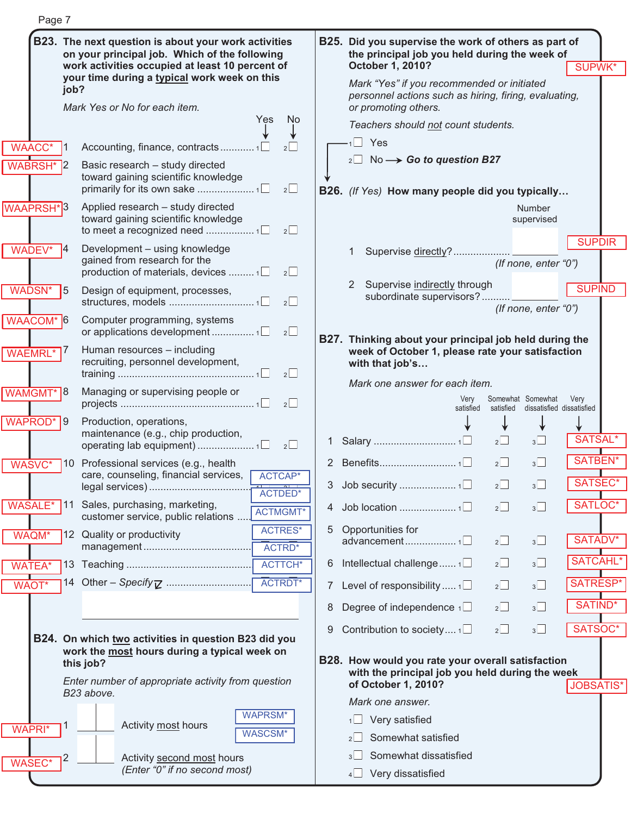| Page 7           |                                                                                                       |    |                                                                                                        |         |                                                          |                  |  |
|------------------|-------------------------------------------------------------------------------------------------------|----|--------------------------------------------------------------------------------------------------------|---------|----------------------------------------------------------|------------------|--|
|                  | B23. The next question is about your work activities<br>on your principal job. Which of the following |    | B25. Did you supervise the work of others as part of<br>the principal job you held during the week of  |         |                                                          |                  |  |
|                  | work activities occupied at least 10 percent of<br>your time during a typical work week on this       |    | October 1, 2010?<br>Mark "Yes" if you recommended or initiated                                         |         |                                                          | <b>SUPWK*</b>    |  |
|                  | job?                                                                                                  |    | personnel actions such as hiring, firing, evaluating,                                                  |         |                                                          |                  |  |
|                  | Mark Yes or No for each item.<br>Yes<br>No.                                                           |    | or promoting others.                                                                                   |         |                                                          |                  |  |
|                  |                                                                                                       |    | Teachers should not count students.                                                                    |         |                                                          |                  |  |
| <b>WAACC*</b>    | Accounting, finance, contracts1□                                                                      |    | $1 \square$ Yes                                                                                        |         |                                                          |                  |  |
| <b>WABRSH*</b>   | Basic research - study directed<br>toward gaining scientific knowledge<br>2                           |    | $_2\square$ No $\longrightarrow$ Go to question B27<br>B26. (If Yes) How many people did you typically |         |                                                          |                  |  |
| <b>WAAPRSH</b> * | Applied research - study directed                                                                     |    |                                                                                                        |         | <b>Number</b>                                            |                  |  |
|                  | toward gaining scientific knowledge<br>$2\Box$                                                        |    |                                                                                                        |         | supervised                                               | <b>SUPDIR</b>    |  |
| WADEV*           | Development - using knowledge<br>gained from research for the                                         |    | Supervise directly?                                                                                    |         |                                                          |                  |  |
|                  | production of materials, devices  1<br>$2\Box$                                                        |    |                                                                                                        |         | (If none, enter "0")                                     |                  |  |
| WADSN*           | 5<br>Design of equipment, processes,<br>$2\Box$                                                       |    | Supervise indirectly through<br>2<br>subordinate supervisors?                                          |         | (If none, enter "0")                                     | <b>SUPIND</b>    |  |
| WAACOM* 6        | Computer programming, systems                                                                         |    |                                                                                                        |         |                                                          |                  |  |
|                  | 2                                                                                                     |    | B27. Thinking about your principal job held during the                                                 |         |                                                          |                  |  |
| <b>WAEMRL*</b>   | Human resources - including<br>recruiting, personnel development,<br>$2\Box$                          |    | week of October 1, please rate your satisfaction<br>with that job's                                    |         |                                                          |                  |  |
| WAMGMT*          | Managing or supervising people or<br>।୪                                                               |    | Mark one answer for each item.                                                                         |         |                                                          |                  |  |
|                  | 2                                                                                                     |    | Very<br>satisfied                                                                                      |         | Somewhat Somewhat<br>satisfied dissatisfied dissatisfied | Very             |  |
| <b>WAPROD*</b>   | Production, operations,<br>l 9<br>maintenance (e.g., chip production,                                 |    |                                                                                                        |         |                                                          |                  |  |
|                  | $2\Box$                                                                                               |    |                                                                                                        | $2\Box$ | $3\Box$                                                  | <b>SATSAL</b>    |  |
| WASVC*           | 10 Professional services (e.g., health                                                                |    |                                                                                                        | 2       | $3\Box$                                                  | SATBEN*          |  |
|                  | care, counseling, financial services, ACTCAP*<br>ACTDED*                                              | 3  |                                                                                                        | $2\Box$ | $3\Box$                                                  | SATSEC*          |  |
| <b>WASALE*</b>   | 11 Sales, purchasing, marketing,<br><b>ACTMGMT</b> *<br>customer service, public relations            | 4  |                                                                                                        | $2\Box$ | $3\Box$                                                  | SATLOC*          |  |
| WAQM*            | <b>ACTRES*</b><br>12 Quality or productivity<br>ACTRD*                                                | 5. | Opportunities for<br>advancement1□                                                                     | $2\Box$ | $3\Box$                                                  | SATADV*          |  |
| <b>WATEA*</b>    | ACTTCH*                                                                                               | 6  | Intellectual challenge $1\Box$                                                                         | $2\Box$ | $3\Box$                                                  | <b>SATCAHL*</b>  |  |
| <b>WAOT*</b>     | ACTRDT*                                                                                               | 7  | Level of responsibility $\Box$                                                                         | $2\Box$ | $3\Box$                                                  | SATRESP*         |  |
|                  |                                                                                                       | 8  | Degree of independence $\sqrt{ }$                                                                      | $2\Box$ | $3\Box$                                                  | SATIND*          |  |
|                  |                                                                                                       | 9  | Contribution to society $1\Box$                                                                        | $2\Box$ | $3\Box$                                                  | SATSOC*          |  |
|                  | B24. On which two activities in question B23 did you<br>work the most hours during a typical week on  |    |                                                                                                        |         |                                                          |                  |  |
|                  | this job?                                                                                             |    | B28. How would you rate your overall satisfaction<br>with the principal job you held during the week   |         |                                                          |                  |  |
|                  | Enter number of appropriate activity from question<br>B23 above.                                      |    | of October 1, 2010?                                                                                    |         |                                                          | <b>JOBSATIS*</b> |  |
|                  |                                                                                                       |    | Mark one answer.                                                                                       |         |                                                          |                  |  |
| <b>WAPRI*</b>    | <b>WAPRSM*</b><br>Activity most hours                                                                 |    | $1$ Very satisfied                                                                                     |         |                                                          |                  |  |
|                  | <b>WASCSM*</b>                                                                                        |    | Somewhat satisfied<br>2 <sub>l</sub>                                                                   |         |                                                          |                  |  |
| <b>WASEC*</b>    | Activity second most hours                                                                            |    | Somewhat dissatisfied                                                                                  |         |                                                          |                  |  |
|                  | (Enter "0" if no second most)                                                                         |    | 4 Very dissatisfied                                                                                    |         |                                                          |                  |  |

ſ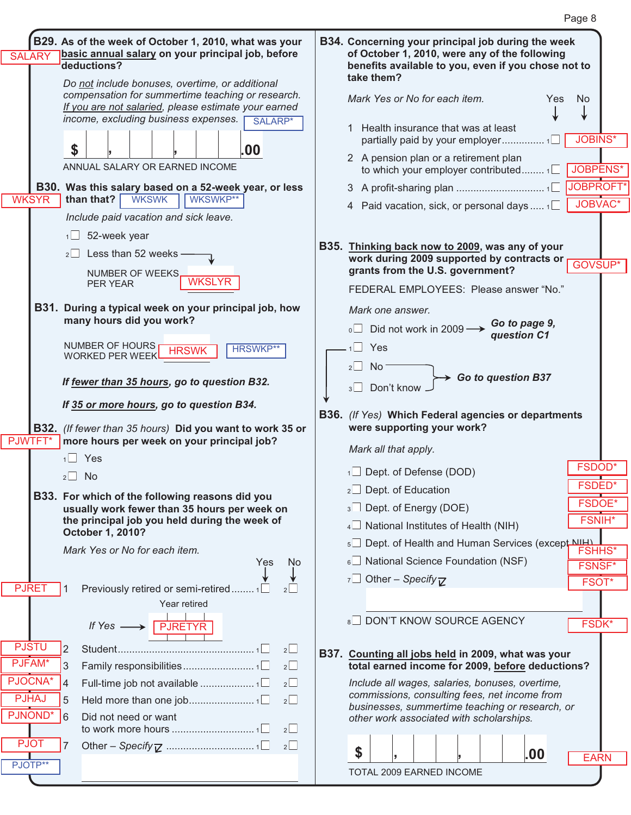| basic annual salary on your principal job, before<br>deductions?                                          |                                                                                                                                                                                                                                                                                                                                                                                                                                                                                                                                                                                                                                                                                             | B34. Concerning your principal job during the week<br>of October 1, 2010, were any of the following<br>benefits available to you, even if you chose not to<br>take them? |
|-----------------------------------------------------------------------------------------------------------|---------------------------------------------------------------------------------------------------------------------------------------------------------------------------------------------------------------------------------------------------------------------------------------------------------------------------------------------------------------------------------------------------------------------------------------------------------------------------------------------------------------------------------------------------------------------------------------------------------------------------------------------------------------------------------------------|--------------------------------------------------------------------------------------------------------------------------------------------------------------------------|
| compensation for summertime teaching or research.<br>If you are not salaried, please estimate your earned |                                                                                                                                                                                                                                                                                                                                                                                                                                                                                                                                                                                                                                                                                             | Mark Yes or No for each item.<br>Yes<br><b>No</b>                                                                                                                        |
|                                                                                                           |                                                                                                                                                                                                                                                                                                                                                                                                                                                                                                                                                                                                                                                                                             | Health insurance that was at least<br><b>JOBINS*</b>                                                                                                                     |
| ANNUAL SALARY OR EARNED INCOME                                                                            |                                                                                                                                                                                                                                                                                                                                                                                                                                                                                                                                                                                                                                                                                             | 2 A pension plan or a retirement plan<br><b>JOBPENS*</b><br>to which your employer contributed 1                                                                         |
|                                                                                                           |                                                                                                                                                                                                                                                                                                                                                                                                                                                                                                                                                                                                                                                                                             | JOBPROFT*                                                                                                                                                                |
| Include paid vacation and sick leave.                                                                     |                                                                                                                                                                                                                                                                                                                                                                                                                                                                                                                                                                                                                                                                                             | JOBVAC*<br>4 Paid vacation, sick, or personal days $1\Box$                                                                                                               |
| $1 \square$ 52-week year                                                                                  |                                                                                                                                                                                                                                                                                                                                                                                                                                                                                                                                                                                                                                                                                             |                                                                                                                                                                          |
| Less than 52 weeks -<br>$2\Box$                                                                           |                                                                                                                                                                                                                                                                                                                                                                                                                                                                                                                                                                                                                                                                                             | B35. Thinking back now to 2009, was any of your<br>work during 2009 supported by contracts or                                                                            |
| NUMBER OF WEEKS.                                                                                          |                                                                                                                                                                                                                                                                                                                                                                                                                                                                                                                                                                                                                                                                                             | GOVSUP*<br>grants from the U.S. government?                                                                                                                              |
| WKSLYR<br><b>PER YEAR</b>                                                                                 |                                                                                                                                                                                                                                                                                                                                                                                                                                                                                                                                                                                                                                                                                             | FEDERAL EMPLOYEES: Please answer "No."                                                                                                                                   |
|                                                                                                           |                                                                                                                                                                                                                                                                                                                                                                                                                                                                                                                                                                                                                                                                                             | Mark one answer.                                                                                                                                                         |
|                                                                                                           |                                                                                                                                                                                                                                                                                                                                                                                                                                                                                                                                                                                                                                                                                             | Go to page 9,<br>Did not work in 2009 -<br>$\circ$<br>question C1                                                                                                        |
| NUMBER OF HOURS<br><b>HRSWKP**</b><br>HRSWI                                                               |                                                                                                                                                                                                                                                                                                                                                                                                                                                                                                                                                                                                                                                                                             | Yes                                                                                                                                                                      |
| If fewer than 35 hours, go to question B32.                                                               |                                                                                                                                                                                                                                                                                                                                                                                                                                                                                                                                                                                                                                                                                             | 2<br><b>No</b><br>$\rightarrow$ Go to question B37<br>Don't know<br>3                                                                                                    |
|                                                                                                           |                                                                                                                                                                                                                                                                                                                                                                                                                                                                                                                                                                                                                                                                                             |                                                                                                                                                                          |
|                                                                                                           |                                                                                                                                                                                                                                                                                                                                                                                                                                                                                                                                                                                                                                                                                             | B36. (If Yes) Which Federal agencies or departments<br>were supporting your work?                                                                                        |
|                                                                                                           |                                                                                                                                                                                                                                                                                                                                                                                                                                                                                                                                                                                                                                                                                             | Mark all that apply.                                                                                                                                                     |
|                                                                                                           |                                                                                                                                                                                                                                                                                                                                                                                                                                                                                                                                                                                                                                                                                             | <b>FSDOD*</b><br>$\Box$ Dept. of Defense (DOD)                                                                                                                           |
|                                                                                                           |                                                                                                                                                                                                                                                                                                                                                                                                                                                                                                                                                                                                                                                                                             | <b>FSDED*</b><br>$2$ Dept. of Education                                                                                                                                  |
|                                                                                                           |                                                                                                                                                                                                                                                                                                                                                                                                                                                                                                                                                                                                                                                                                             | <b>FSDOE*</b><br>3 Dept. of Energy (DOE)                                                                                                                                 |
| the principal job you held during the week of                                                             |                                                                                                                                                                                                                                                                                                                                                                                                                                                                                                                                                                                                                                                                                             | <b>FSNIH*</b><br>4 National Institutes of Health (NIH)                                                                                                                   |
| October 1, 2010?                                                                                          |                                                                                                                                                                                                                                                                                                                                                                                                                                                                                                                                                                                                                                                                                             | 5 Dept. of Health and Human Services (except NH)                                                                                                                         |
| Mark Yes or No for each item.                                                                             |                                                                                                                                                                                                                                                                                                                                                                                                                                                                                                                                                                                                                                                                                             | <b>FSHHS*</b><br>$6\Box$ National Science Foundation (NSF)                                                                                                               |
|                                                                                                           |                                                                                                                                                                                                                                                                                                                                                                                                                                                                                                                                                                                                                                                                                             | <b>FSNSF*</b><br>7 Other – Specify $\nabla$                                                                                                                              |
| Previously retired or semi-retired                                                                        |                                                                                                                                                                                                                                                                                                                                                                                                                                                                                                                                                                                                                                                                                             | FSOT*                                                                                                                                                                    |
| Year retired                                                                                              |                                                                                                                                                                                                                                                                                                                                                                                                                                                                                                                                                                                                                                                                                             |                                                                                                                                                                          |
|                                                                                                           |                                                                                                                                                                                                                                                                                                                                                                                                                                                                                                                                                                                                                                                                                             | DON'T KNOW SOURCE AGENCY<br>8<br>FSDK*                                                                                                                                   |
| If $Yes \longrightarrow \boxed{PIRETYR}$                                                                  |                                                                                                                                                                                                                                                                                                                                                                                                                                                                                                                                                                                                                                                                                             |                                                                                                                                                                          |
| 2<br>2<br>$2\Box$<br>3                                                                                    |                                                                                                                                                                                                                                                                                                                                                                                                                                                                                                                                                                                                                                                                                             | B37. Counting all jobs held in 2009, what was your<br>total earned income for 2009, before deductions?                                                                   |
| $2\Box$<br>4                                                                                              |                                                                                                                                                                                                                                                                                                                                                                                                                                                                                                                                                                                                                                                                                             | Include all wages, salaries, bonuses, overtime,                                                                                                                          |
| 5<br>2                                                                                                    |                                                                                                                                                                                                                                                                                                                                                                                                                                                                                                                                                                                                                                                                                             | commissions, consulting fees, net income from                                                                                                                            |
| Did not need or want<br>6                                                                                 |                                                                                                                                                                                                                                                                                                                                                                                                                                                                                                                                                                                                                                                                                             | businesses, summertime teaching or research, or<br>other work associated with scholarships.                                                                              |
| $2\Box$<br>$2\Box$                                                                                        |                                                                                                                                                                                                                                                                                                                                                                                                                                                                                                                                                                                                                                                                                             |                                                                                                                                                                          |
|                                                                                                           | B29. As of the week of October 1, 2010, what was your<br>Do not include bonuses, overtime, or additional<br>income, excluding business expenses.<br>SALARP*<br>\$<br>.00<br>B30. Was this salary based on a 52-week year, or less<br>WKSWKP**<br>than that?<br><b>WKSWK</b><br>B31. During a typical week on your principal job, how<br>many hours did you work?<br><b>WORKED PER WEEK</b><br>If 35 or more hours, go to question B34.<br>B32. (If fewer than 35 hours) Did you want to work 35 or<br>more hours per week on your principal job?<br>$1$ Yes<br>$2 \Box$ No<br>B33. For which of the following reasons did you<br>usually work fewer than 35 hours per week on<br>Yes<br>No. |                                                                                                                                                                          |

TOTAL 2009 EARNED INCOME

**SALARY** 

**WKSYR** 

PJWTFT PJWTFT\*

PJRET

PJSTU PJSTU PJFAM PJFAM\* PJOCNA PJOCNA\* PJHAJ PJNOND PJNOND\*

PJOT

PJHAJ<br>JNONE<br>PJOT

PJOTP\*\*

I

|--|--|

EARN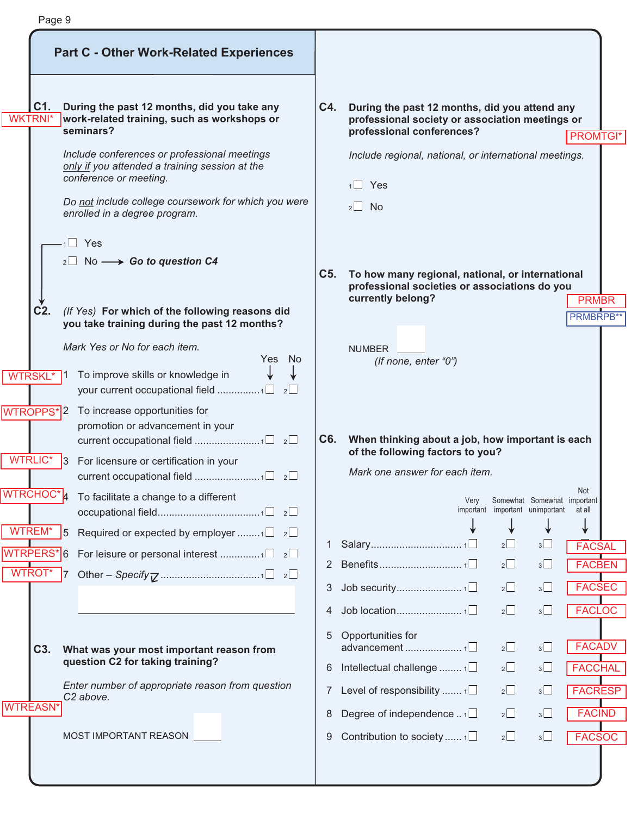|                       | <b>Part C - Other Work-Related Experiences</b>                                                                                                                                                                                                                                                                                                                                                   |                       |                                                                                                                                                                                                                           |                           |
|-----------------------|--------------------------------------------------------------------------------------------------------------------------------------------------------------------------------------------------------------------------------------------------------------------------------------------------------------------------------------------------------------------------------------------------|-----------------------|---------------------------------------------------------------------------------------------------------------------------------------------------------------------------------------------------------------------------|---------------------------|
| C1.<br><b>WKTRNI*</b> | During the past 12 months, did you take any<br>work-related training, such as workshops or<br>seminars?<br>Include conferences or professional meetings<br>only if you attended a training session at the<br>conference or meeting.<br>Do not include college coursework for which you were<br>enrolled in a degree program.<br>$\Box$ Yes<br>$_2\square$ No $\longrightarrow$ Go to question C4 | C4.                   | During the past 12 months, did you attend any<br>professional society or association meetings or<br>professional conferences?<br>Include regional, national, or international meetings.<br>$1 \square$ Yes<br>$2 \Box$ No | <b>PROMTGI*</b>           |
| $C2$ .                | (If Yes) For which of the following reasons did<br>you take training during the past 12 months?                                                                                                                                                                                                                                                                                                  | C5.                   | To how many regional, national, or international<br>professional societies or associations do you<br>currently belong?                                                                                                    | <b>PRMBR</b><br>PRMBRPB** |
|                       | Mark Yes or No for each item.                                                                                                                                                                                                                                                                                                                                                                    |                       | <b>NUMBER</b>                                                                                                                                                                                                             |                           |
| <b>WTRSKL*</b>        | Yes:<br><b>No</b><br>To improve skills or knowledge in                                                                                                                                                                                                                                                                                                                                           |                       | (If none, enter "0")                                                                                                                                                                                                      |                           |
| <b>WTROPPS*</b><br>12 | To increase opportunities for<br>promotion or advancement in your                                                                                                                                                                                                                                                                                                                                | C6.                   | When thinking about a job, how important is each<br>of the following factors to you?                                                                                                                                      |                           |
| <b>WTRLIC*</b><br>3   | For licensure or certification in your                                                                                                                                                                                                                                                                                                                                                           |                       | Mark one answer for each item.                                                                                                                                                                                            |                           |
| $WTRCHOC^* _4$        | To facilitate a change to a different                                                                                                                                                                                                                                                                                                                                                            |                       | Somewhat Somewhat important<br>Verv<br>important important unimportant                                                                                                                                                    | Not<br>at all             |
| WTREM*<br>15          | Required or expected by employer $\Box$ 2                                                                                                                                                                                                                                                                                                                                                        |                       |                                                                                                                                                                                                                           | V                         |
| WTRPERS*6             |                                                                                                                                                                                                                                                                                                                                                                                                  | 1                     | $2\Box$<br>3<br>$2\Box$<br>3                                                                                                                                                                                              | <b>FACSAL</b>             |
| <b>WTROT*</b><br>17   |                                                                                                                                                                                                                                                                                                                                                                                                  | $\mathbf{2}^{\prime}$ |                                                                                                                                                                                                                           | <b>FACBEN</b>             |
|                       |                                                                                                                                                                                                                                                                                                                                                                                                  | 3                     | 2<br>3 <sup>1</sup>                                                                                                                                                                                                       | <b>FACSEC</b>             |
|                       |                                                                                                                                                                                                                                                                                                                                                                                                  | 4                     | $2\Box$<br>$3^{\sim}$                                                                                                                                                                                                     | <b>FACLOC</b>             |
| C <sub>3</sub> .      | What was your most important reason from                                                                                                                                                                                                                                                                                                                                                         | 5                     | Opportunities for<br>$2\Box$<br>3                                                                                                                                                                                         | <b>FACADV</b>             |
|                       | question C2 for taking training?                                                                                                                                                                                                                                                                                                                                                                 | 6                     | Intellectual challenge $1\Box$<br>$2\Box$<br>3 <sup>1</sup>                                                                                                                                                               | <b>FACCHAL</b>            |
|                       | Enter number of appropriate reason from question                                                                                                                                                                                                                                                                                                                                                 | 7                     | Level of responsibility $1\Box$<br>2<br>3                                                                                                                                                                                 | <b>FACRESP</b>            |
|                       |                                                                                                                                                                                                                                                                                                                                                                                                  |                       |                                                                                                                                                                                                                           |                           |
| <b>WTREASN</b>        | C <sub>2</sub> above.                                                                                                                                                                                                                                                                                                                                                                            | 8                     | Degree of independence $\ldots$ $\square$<br>$2\Box$<br>3 <sup>1</sup>                                                                                                                                                    | <b>FACIND</b>             |

Г

I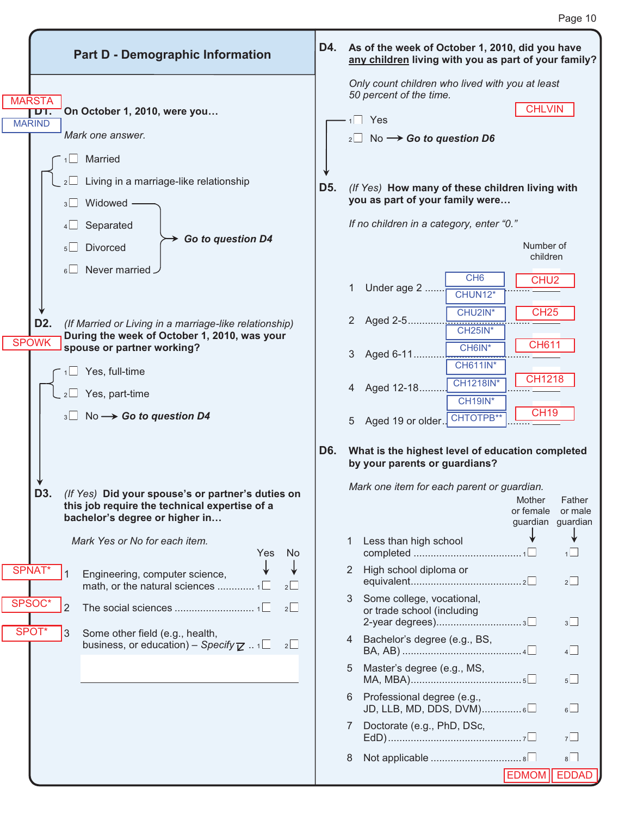|        |                                       |                     | <b>Part D - Demographic Information</b>                                                                                                                                                                                                              | D4.              |              | As of the week of October 1, 2010, did you have<br>any children living with you as part of your family?                                                                                                                                   |                                                                          |                                        |
|--------|---------------------------------------|---------------------|------------------------------------------------------------------------------------------------------------------------------------------------------------------------------------------------------------------------------------------------------|------------------|--------------|-------------------------------------------------------------------------------------------------------------------------------------------------------------------------------------------------------------------------------------------|--------------------------------------------------------------------------|----------------------------------------|
|        | <b>MARSTA</b><br>D1.<br><b>MARIND</b> |                     | On October 1, 2010, were you<br>Mark one answer.                                                                                                                                                                                                     |                  |              | Only count children who lived with you at least<br>50 percent of the time.<br>$1 \square$ Yes<br>$_2\Box$ No $\rightarrow$ Go to question D6                                                                                              | <b>CHLVIN</b>                                                            |                                        |
|        |                                       | 3<br>$5\Box$        | 1 <sup>1</sup> Married<br>$2 \Box$ Living in a marriage-like relationship<br>Widowed<br>Separated<br>Go to question D4<br><b>Divorced</b>                                                                                                            | D <sub>5</sub> . |              | (If Yes) How many of these children living with<br>you as part of your family were<br>If no children in a category, enter "0."                                                                                                            | Number of<br>children                                                    |                                        |
|        | D <sub>2</sub> .<br><b>SPOWK</b>      | 6<br>$1 \Box$       | Never married<br>(If Married or Living in a marriage-like relationship)<br>During the week of October 1, 2010, was your<br>spouse or partner working?<br>Yes, full-time<br>$_2\square$ Yes, part-time<br>$3 \Box$ No $\rightarrow$ Go to question D4 |                  | 1<br>3<br>5  | CH <sub>6</sub><br>Under age 2<br>CHUN12*<br>CHU2IN*<br>2 Aged 2-5<br>,,,,,,,,,,,,,,,,,,,,,<br>CH <sub>25</sub> IN*<br>CH6IN*<br>Aged 6-11<br><b>CH611IN*</b><br><b>CH1218IN*</b><br>Aged 12-18<br>CH19IN*<br>Aged 19 or older. CHTOTPB** | CHU <sub>2</sub><br><b>CH25</b><br><b>CH611</b><br>CH1218<br><b>CH19</b> |                                        |
|        | D3                                    |                     | (If Yes) Did your spouse's or partner's duties on<br>this job require the technical expertise of a<br>bachelor's degree or higher in                                                                                                                 | D6.              |              | What is the highest level of education completed<br>by your parents or guardians?<br>Mark one item for each parent or guardian.                                                                                                           | Mother<br>or female                                                      | Father<br>or male<br>guardian guardian |
|        | SPNAT*                                | 1                   | Mark Yes or No for each item.<br>No<br>Yes<br>Engineering, computer science,<br>2                                                                                                                                                                    |                  | 1            | Less than high school<br>2 High school diploma or                                                                                                                                                                                         |                                                                          | 1<br>$2\Box$                           |
| SPSOC* | SPOT*                                 | $\overline{2}$<br>3 | 2<br>Some other field (e.g., health,<br>business, or education) – Specify $\mathbb Z$ $1 \square$<br>2                                                                                                                                               |                  | 3<br>4<br>5. | Some college, vocational,<br>or trade school (including<br>Bachelor's degree (e.g., BS,<br>Master's degree (e.g., MS,                                                                                                                     |                                                                          | 3<br>4                                 |
|        |                                       |                     |                                                                                                                                                                                                                                                      |                  | 7            | 6 Professional degree (e.g.,<br>$JD, LLB, MD, DDS, DVM)$ 6<br>Doctorate (e.g., PhD, DSc,                                                                                                                                                  |                                                                          | $5\Box$<br>6 <sup>1</sup><br>7         |
|        |                                       |                     |                                                                                                                                                                                                                                                      |                  | 8            |                                                                                                                                                                                                                                           | <b>EDMOM</b>                                                             | $8\Box$<br>EDDAD                       |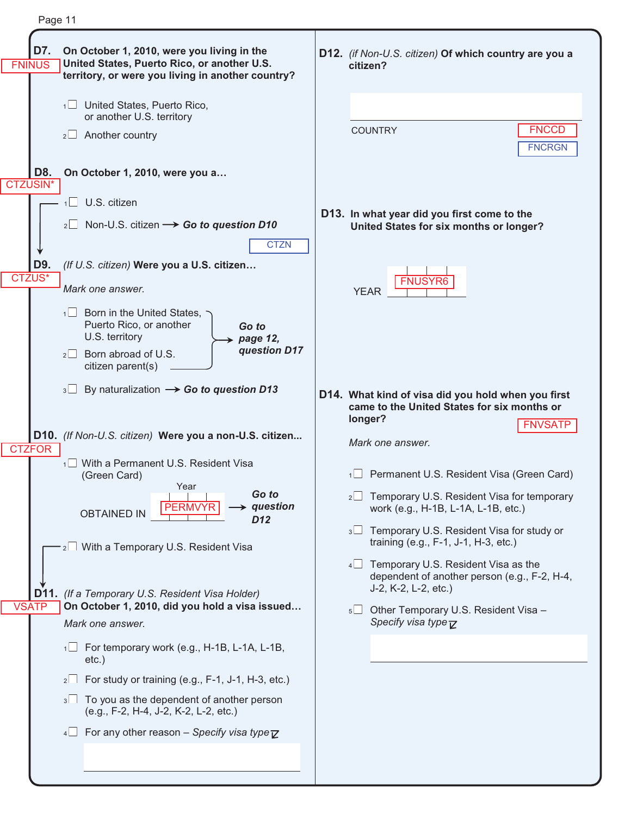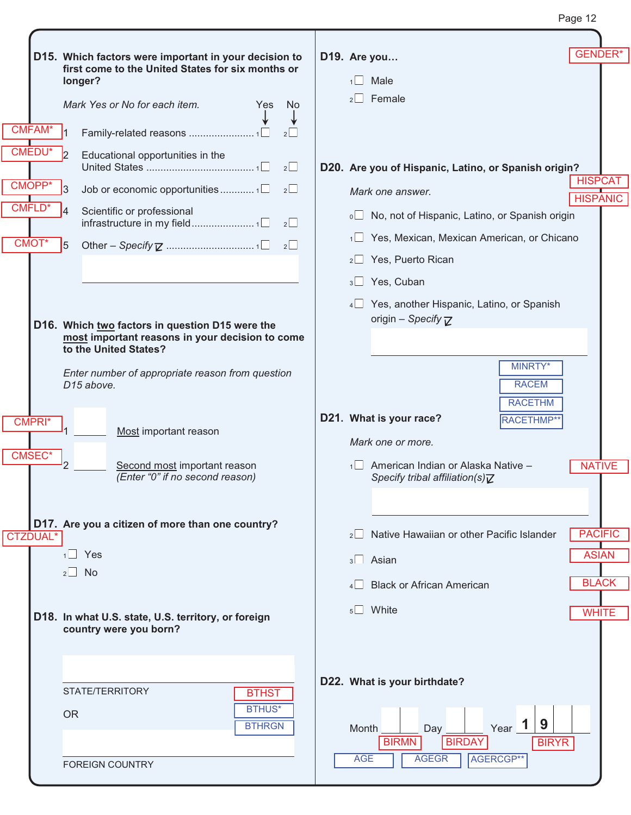| Pane− | ╭ |
|-------|---|
|-------|---|

| CMFAM*                                     | D15. Which factors were important in your decision to<br>first come to the United States for six months or<br>longer?<br>Mark Yes or No for each item.<br><b>Yes</b><br>No<br>2                                                                                                                                                                           | <b>GENDER*</b><br>D19. Are you<br>1 <sup>T</sup><br>Male<br>Female<br>$2$                                                                                                                                                                                                                    |
|--------------------------------------------|-----------------------------------------------------------------------------------------------------------------------------------------------------------------------------------------------------------------------------------------------------------------------------------------------------------------------------------------------------------|----------------------------------------------------------------------------------------------------------------------------------------------------------------------------------------------------------------------------------------------------------------------------------------------|
| <b>CMEDU*</b><br>CMOPP*<br>CMFLD*<br>CMOT* | $\overline{2}$<br>Educational opportunities in the<br>$2\Box$<br>R<br>$2^{\square}$<br>Scientific or professional<br>5                                                                                                                                                                                                                                    | D20. Are you of Hispanic, Latino, or Spanish origin?<br><b>HISPCAT</b><br>Mark one answer.<br><b>HISPANIC</b><br>o□ No, not of Hispanic, Latino, or Spanish origin<br>Yes, Mexican, Mexican American, or Chicano<br>1<br>Yes, Puerto Rican<br>$2 \Box$<br>3 Yes, Cuban                       |
| CMPRI <sup>*</sup><br>CMSEC <sup>*</sup>   | D16. Which two factors in question D15 were the<br>most important reasons in your decision to come<br>to the United States?<br>Enter number of appropriate reason from question<br>D <sub>15</sub> above.<br>Most important reason<br>Second most important reason<br>(Enter "0" if no second reason)<br>D17. Are you a citizen of more than one country? | 4 Yes, another Hispanic, Latino, or Spanish<br>origin - Specify $\nabla$<br>MINRTY*<br><b>RACEM</b><br><b>RACETHM</b><br>D21. What is your race?<br>RACETHMP**<br>Mark one or more.<br>1 American Indian or Alaska Native -<br><b>NATIVE</b><br>Specify tribal affiliation(s) $\overline{Z}$ |
| <b>CTZDUAL*</b>                            | $1$ Yes<br>$2 \Box$ No<br>D18. In what U.S. state, U.S. territory, or foreign<br>country were you born?                                                                                                                                                                                                                                                   | <b>PACIFIC</b><br>Native Hawaiian or other Pacific Islander<br>$2^{\vert}$<br><b>ASIAN</b><br>$3\Box$ Asian<br><b>BLACK</b><br><b>Black or African American</b><br>$5\Box$ White<br><b>WHITE</b>                                                                                             |
|                                            | STATE/TERRITORY<br><b>BTHST</b><br><b>BTHUS*</b><br><b>OR</b><br><b>BTHRGN</b><br><b>FOREIGN COUNTRY</b>                                                                                                                                                                                                                                                  | D22. What is your birthdate?<br>9<br>$Year$ 1<br>Month<br>Day<br><b>BIRMN</b><br><b>BIRDAY</b><br><b>BIRYR</b><br>AGERCGP**<br><b>AGE</b><br><b>AGEGR</b>                                                                                                                                    |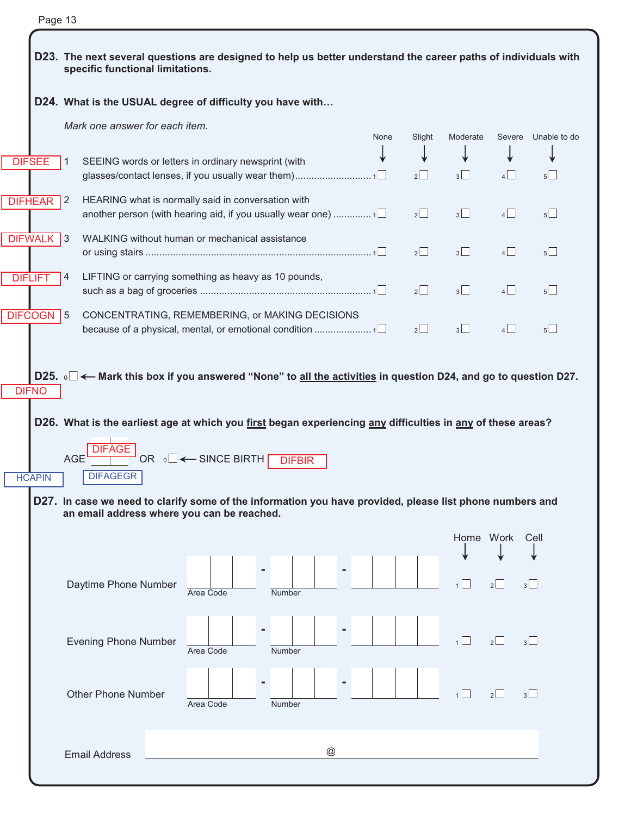|--|--|

|                | D23. The next several questions are designed to help us better understand the career paths of individuals with<br>specific functional limitations.                                                                  |               |      |         |                |                |                |  |  |  |
|----------------|---------------------------------------------------------------------------------------------------------------------------------------------------------------------------------------------------------------------|---------------|------|---------|----------------|----------------|----------------|--|--|--|
|                | D24. What is the USUAL degree of difficulty you have with                                                                                                                                                           |               |      |         |                |                |                |  |  |  |
|                | Mark one answer for each item.                                                                                                                                                                                      |               | None | Slight  | Moderate       | Severe         | Unable to do   |  |  |  |
| <b>DIFSEE</b>  | SEEING words or letters in ordinary newsprint (with<br>$\overline{1}$                                                                                                                                               |               |      | $2\Box$ | $3\Box$        | $4\Box$        | $5\Box$        |  |  |  |
| <b>DIFHEAR</b> | HEARING what is normally said in conversation with<br>$\sqrt{2}$<br>another person (with hearing aid, if you usually wear one) 1 $\Box$                                                                             |               |      | 2       | 3              | 4              | $5\Box$        |  |  |  |
| <b>DIFWALK</b> | $\vert$ 3<br>WALKING without human or mechanical assistance                                                                                                                                                         |               |      | 2       | $3\Box$        | $4\Box$        | $5\Box$        |  |  |  |
| <b>DIFLIFT</b> | $\vert 4 \vert$<br>LIFTING or carrying something as heavy as 10 pounds,                                                                                                                                             |               |      | 2       | 3              | $\overline{4}$ | 5              |  |  |  |
| <b>DIFCOGN</b> | $\overline{15}$<br>CONCENTRATING, REMEMBERING, or MAKING DECISIONS<br>because of a physical, mental, or emotional condition 1□                                                                                      |               |      | 2       | $3\Box$        | 4              | $5\Box$        |  |  |  |
| <b>DIFNO</b>   | D25. <b>I</b> ← Mark this box if you answered "None" to all the activities in question D24, and go to question D27.                                                                                                 |               |      |         |                |                |                |  |  |  |
| <b>HCAPIN</b>  | D26. What is the earliest age at which you first began experiencing any difficulties in any of these areas?<br><b>DIFAGE</b><br>OR <sub>0</sub> □ ← SINCE BIRTH [<br><b>AGE</b><br><b>DIFBIR</b><br><b>DIFAGEGR</b> |               |      |         |                |                |                |  |  |  |
|                | D27. In case we need to clarify some of the information you have provided, please list phone numbers and<br>an email address where you can be reached.                                                              |               |      |         |                |                |                |  |  |  |
|                |                                                                                                                                                                                                                     |               |      |         | Home Work      |                | Cell           |  |  |  |
|                | Daytime Phone Number<br>Area Code<br>Number                                                                                                                                                                         |               |      |         | 1              | $2\Box$        | 3              |  |  |  |
|                | <b>Evening Phone Number</b><br>Number<br>Area Code                                                                                                                                                                  |               |      |         | 1 <sup>L</sup> | 2              | 3 <sup>1</sup> |  |  |  |
|                | <b>Other Phone Number</b><br>Area Code<br>Number                                                                                                                                                                    |               |      |         | $\overline{1}$ | 2              | $3\Box$        |  |  |  |
|                | <b>Email Address</b>                                                                                                                                                                                                | $^\copyright$ |      |         |                |                |                |  |  |  |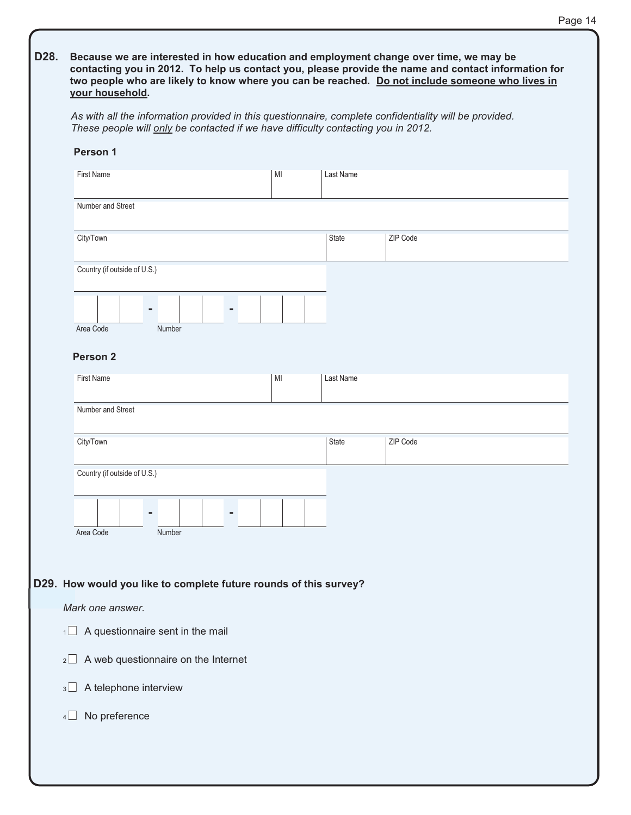| As with all the information provided in this questionnaire, complete confidentiality will be provided.<br>These people will only be contacted if we have difficulty contacting you in 2012. |    |           |          |  |  |  |  |
|---------------------------------------------------------------------------------------------------------------------------------------------------------------------------------------------|----|-----------|----------|--|--|--|--|
| Person 1                                                                                                                                                                                    |    |           |          |  |  |  |  |
| <b>First Name</b>                                                                                                                                                                           | MI | Last Name |          |  |  |  |  |
| Number and Street                                                                                                                                                                           |    |           |          |  |  |  |  |
| City/Town                                                                                                                                                                                   |    | State     | ZIP Code |  |  |  |  |
| Country (if outside of U.S.)                                                                                                                                                                |    |           |          |  |  |  |  |
|                                                                                                                                                                                             |    |           |          |  |  |  |  |
| Area Code<br>Number<br>Person <sub>2</sub>                                                                                                                                                  |    |           |          |  |  |  |  |
| <b>First Name</b>                                                                                                                                                                           | MI | Last Name |          |  |  |  |  |
| Number and Street                                                                                                                                                                           |    |           |          |  |  |  |  |
| City/Town                                                                                                                                                                                   |    | State     | ZIP Code |  |  |  |  |
| Country (if outside of U.S.)                                                                                                                                                                |    |           |          |  |  |  |  |
|                                                                                                                                                                                             |    |           |          |  |  |  |  |
| Area Code<br>Number                                                                                                                                                                         |    |           |          |  |  |  |  |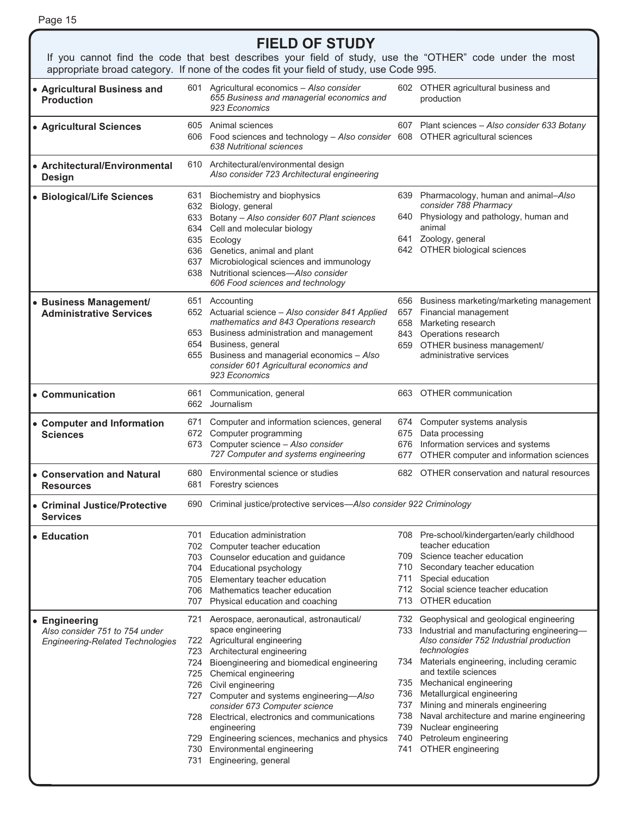| ـ<br>۰. |  |
|---------|--|
|---------|--|

### **FIELD OF STUDY**

If you cannot find the code that best describes your field of study, use the "OTHER" code under the most appropriate broad category. If none of the codes fit your field of study, use Code 995.

| • Agricultural Business and<br><b>Production</b>                                                | 601                             | Agricultural economics - Also consider<br>655 Business and managerial economics and<br>923 Economics                                                                                                                                                                                                                                                                                                                                                                                       |                                        | 602 OTHER agricultural business and<br>production                                                                                                                                                                                                                                                                                                                                                                                              |
|-------------------------------------------------------------------------------------------------|---------------------------------|--------------------------------------------------------------------------------------------------------------------------------------------------------------------------------------------------------------------------------------------------------------------------------------------------------------------------------------------------------------------------------------------------------------------------------------------------------------------------------------------|----------------------------------------|------------------------------------------------------------------------------------------------------------------------------------------------------------------------------------------------------------------------------------------------------------------------------------------------------------------------------------------------------------------------------------------------------------------------------------------------|
| • Agricultural Sciences                                                                         |                                 | 605 Animal sciences<br>606 Food sciences and technology - Also consider 608 OTHER agricultural sciences<br>638 Nutritional sciences                                                                                                                                                                                                                                                                                                                                                        |                                        | 607 Plant sciences - Also consider 633 Botany                                                                                                                                                                                                                                                                                                                                                                                                  |
| • Architectural/Environmental<br><b>Design</b>                                                  |                                 | 610 Architectural/environmental design<br>Also consider 723 Architectural engineering                                                                                                                                                                                                                                                                                                                                                                                                      |                                        |                                                                                                                                                                                                                                                                                                                                                                                                                                                |
| • Biological/Life Sciences                                                                      | 631<br>632<br>633<br>637<br>638 | Biochemistry and biophysics<br>Biology, general<br>Botany - Also consider 607 Plant sciences<br>634 Cell and molecular biology<br>635 Ecology<br>636 Genetics, animal and plant<br>Microbiological sciences and immunology<br>Nutritional sciences-Also consider<br>606 Food sciences and technology                                                                                                                                                                                       |                                        | 639 Pharmacology, human and animal-Also<br>consider 788 Pharmacy<br>640 Physiology and pathology, human and<br>animal<br>641 Zoology, general<br>642 OTHER biological sciences                                                                                                                                                                                                                                                                 |
| • Business Management/<br><b>Administrative Services</b>                                        |                                 | 651 Accounting<br>652 Actuarial science - Also consider 841 Applied<br>mathematics and 843 Operations research<br>653 Business administration and management<br>654 Business, general<br>655 Business and managerial economics - Also<br>consider 601 Agricultural economics and<br>923 Economics                                                                                                                                                                                          | 657<br>658<br>843<br>659               | 656 Business marketing/marketing management<br>Financial management<br>Marketing research<br>Operations research<br>OTHER business management/<br>administrative services                                                                                                                                                                                                                                                                      |
| • Communication                                                                                 | 661                             | Communication, general<br>662 Journalism                                                                                                                                                                                                                                                                                                                                                                                                                                                   |                                        | 663 OTHER communication                                                                                                                                                                                                                                                                                                                                                                                                                        |
| • Computer and Information<br><b>Sciences</b>                                                   | 671<br>672                      | Computer and information sciences, general<br>Computer programming<br>673 Computer science - Also consider<br>727 Computer and systems engineering                                                                                                                                                                                                                                                                                                                                         | 674<br>675<br>676<br>677               | Computer systems analysis<br>Data processing<br>Information services and systems<br>OTHER computer and information sciences                                                                                                                                                                                                                                                                                                                    |
| • Conservation and Natural<br><b>Resources</b>                                                  | 681                             | 680 Environmental science or studies<br>Forestry sciences                                                                                                                                                                                                                                                                                                                                                                                                                                  |                                        | 682 OTHER conservation and natural resources                                                                                                                                                                                                                                                                                                                                                                                                   |
| • Criminal Justice/Protective<br><b>Services</b>                                                |                                 | 690 Criminal justice/protective services-Also consider 922 Criminology                                                                                                                                                                                                                                                                                                                                                                                                                     |                                        |                                                                                                                                                                                                                                                                                                                                                                                                                                                |
| $\bullet$ Education                                                                             | 707                             | 701 Education administration<br>702 Computer teacher education<br>703 Counselor education and guidance<br>704 Educational psychology<br>705 Elementary teacher education<br>706 Mathematics teacher education<br>Physical education and coaching                                                                                                                                                                                                                                           | 709.<br>710<br>711<br>713              | 708 Pre-school/kindergarten/early childhood<br>teacher education<br>Science teacher education<br>Secondary teacher education<br>Special education<br>712 Social science teacher education<br><b>OTHER</b> education                                                                                                                                                                                                                            |
| <b>Engineering</b><br>Also consider 751 to 754 under<br><b>Engineering-Related Technologies</b> | 721<br>724<br>731               | Aerospace, aeronautical, astronautical/<br>space engineering<br>722 Agricultural engineering<br>723 Architectural engineering<br>Bioengineering and biomedical engineering<br>725 Chemical engineering<br>726 Civil engineering<br>727 Computer and systems engineering-Also<br>consider 673 Computer science<br>728 Electrical, electronics and communications<br>engineering<br>729 Engineering sciences, mechanics and physics<br>730 Environmental engineering<br>Engineering, general | 734<br>736<br>737<br>738<br>739<br>741 | 732 Geophysical and geological engineering<br>733 Industrial and manufacturing engineering-<br>Also consider 752 Industrial production<br>technologies<br>Materials engineering, including ceramic<br>and textile sciences<br>735 Mechanical engineering<br>Metallurgical engineering<br>Mining and minerals engineering<br>Naval architecture and marine engineering<br>Nuclear engineering<br>740 Petroleum engineering<br>OTHER engineering |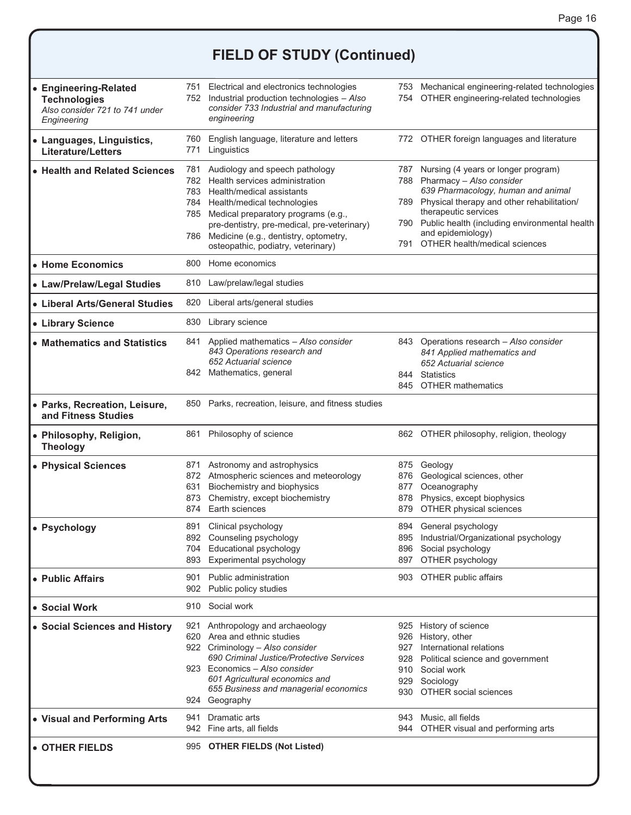## **FIELD OF STUDY (Continued)**

| • Engineering-Related<br><b>Technologies</b><br>Also consider 721 to 741 under<br>Engineering |                   | 751 Electrical and electronics technologies<br>752 Industrial production technologies - Also<br>consider 733 Industrial and manufacturing<br>engineering                                                                                                                                                      |                          | 753 Mechanical engineering-related technologies<br>754 OTHER engineering-related technologies                                                                                                                                                                                                      |
|-----------------------------------------------------------------------------------------------|-------------------|---------------------------------------------------------------------------------------------------------------------------------------------------------------------------------------------------------------------------------------------------------------------------------------------------------------|--------------------------|----------------------------------------------------------------------------------------------------------------------------------------------------------------------------------------------------------------------------------------------------------------------------------------------------|
| • Languages, Linguistics,<br><b>Literature/Letters</b>                                        | 760 -<br>771      | English language, literature and letters<br>Linguistics                                                                                                                                                                                                                                                       |                          | 772 OTHER foreign languages and literature                                                                                                                                                                                                                                                         |
| • Health and Related Sciences                                                                 | 781<br>782<br>786 | Audiology and speech pathology<br>Health services administration<br>783 Health/medical assistants<br>784 Health/medical technologies<br>785 Medical preparatory programs (e.g.,<br>pre-dentistry, pre-medical, pre-veterinary)<br>Medicine (e.g., dentistry, optometry,<br>osteopathic, podiatry, veterinary) | 791                      | 787 Nursing (4 years or longer program)<br>788 Pharmacy - Also consider<br>639 Pharmacology, human and animal<br>789 Physical therapy and other rehabilitation/<br>therapeutic services<br>790 Public health (including environmental health<br>and epidemiology)<br>OTHER health/medical sciences |
| • Home Economics                                                                              |                   | 800 Home economics                                                                                                                                                                                                                                                                                            |                          |                                                                                                                                                                                                                                                                                                    |
| • Law/Prelaw/Legal Studies                                                                    |                   | 810 Law/prelaw/legal studies                                                                                                                                                                                                                                                                                  |                          |                                                                                                                                                                                                                                                                                                    |
| • Liberal Arts/General Studies                                                                | 820               | Liberal arts/general studies                                                                                                                                                                                                                                                                                  |                          |                                                                                                                                                                                                                                                                                                    |
| • Library Science                                                                             | 830               | Library science                                                                                                                                                                                                                                                                                               |                          |                                                                                                                                                                                                                                                                                                    |
| • Mathematics and Statistics                                                                  | 841               | Applied mathematics - Also consider<br>843 Operations research and<br>652 Actuarial science<br>842 Mathematics, general                                                                                                                                                                                       |                          | 843 Operations research - Also consider<br>841 Applied mathematics and<br>652 Actuarial science<br>844 Statistics                                                                                                                                                                                  |
|                                                                                               |                   |                                                                                                                                                                                                                                                                                                               |                          | 845 OTHER mathematics                                                                                                                                                                                                                                                                              |
| • Parks, Recreation, Leisure,<br>and Fitness Studies                                          | 850               | Parks, recreation, leisure, and fitness studies                                                                                                                                                                                                                                                               |                          |                                                                                                                                                                                                                                                                                                    |
| ● Philosophy, Religion,<br><b>Theology</b>                                                    | 861               | Philosophy of science                                                                                                                                                                                                                                                                                         |                          | 862 OTHER philosophy, religion, theology                                                                                                                                                                                                                                                           |
| • Physical Sciences                                                                           | 631<br>873<br>874 | 871 Astronomy and astrophysics<br>872 Atmospheric sciences and meteorology<br>Biochemistry and biophysics<br>Chemistry, except biochemistry<br>Earth sciences                                                                                                                                                 | 876<br>877<br>878<br>879 | 875 Geology<br>Geological sciences, other<br>Oceanography<br>Physics, except biophysics<br>OTHER physical sciences                                                                                                                                                                                 |
| • Psychology                                                                                  | 893               | 891 Clinical psychology<br>892 Counseling psychology<br>704 Educational psychology<br>Experimental psychology                                                                                                                                                                                                 | 897                      | 894 General psychology<br>895 Industrial/Organizational psychology<br>896 Social psychology<br>OTHER psychology                                                                                                                                                                                    |
| <b>.</b> Public Affairs                                                                       | 901               | Public administration<br>902 Public policy studies                                                                                                                                                                                                                                                            |                          | 903 OTHER public affairs                                                                                                                                                                                                                                                                           |
| • Social Work                                                                                 |                   | 910 Social work                                                                                                                                                                                                                                                                                               |                          |                                                                                                                                                                                                                                                                                                    |
| ● Social Sciences and History                                                                 |                   | 921 Anthropology and archaeology<br>620 Area and ethnic studies<br>922 Criminology - Also consider<br>690 Criminal Justice/Protective Services<br>923 Economics - Also consider<br>601 Agricultural economics and<br>655 Business and managerial economics<br>924 Geography                                   | 910                      | 925 History of science<br>926 History, other<br>927 International relations<br>928 Political science and government<br>Social work<br>929 Sociology<br>930 OTHER social sciences                                                                                                                   |
| ● Visual and Performing Arts                                                                  | 941               | Dramatic arts<br>942 Fine arts, all fields                                                                                                                                                                                                                                                                    |                          | 943 Music, all fields<br>944 OTHER visual and performing arts                                                                                                                                                                                                                                      |
| l∙ OTHER FIELDS                                                                               |                   | 995 OTHER FIELDS (Not Listed)                                                                                                                                                                                                                                                                                 |                          |                                                                                                                                                                                                                                                                                                    |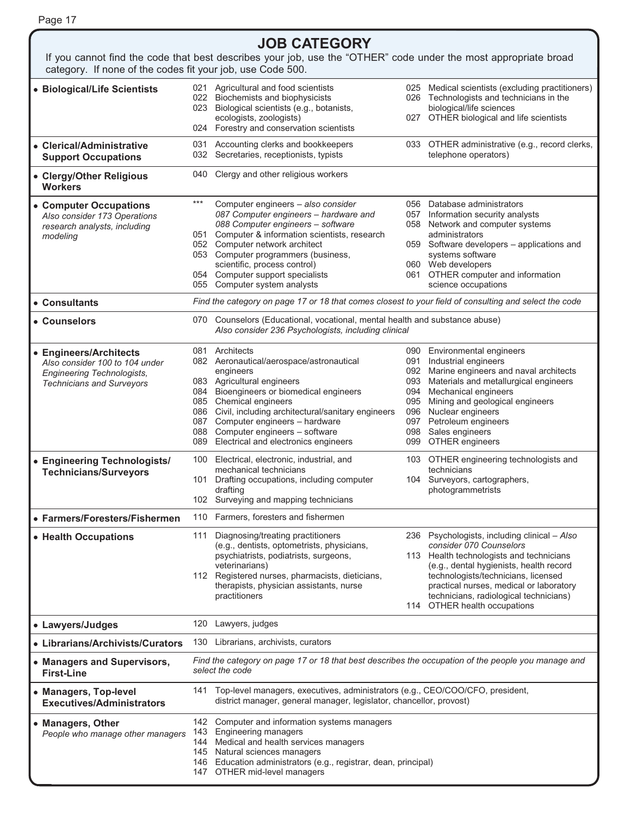|--|--|--|

#### **JOB CATEGORY**  If you cannot find the code that best describes your job, use the "OTHER" code under the most appropriate broad category. If none of the codes fit your job, use Code 500. **• Biological/Life Scientists** 021 Agricultural and food scientists<br>022 Biochemists and biophysicists Biochemists and biophysicists 023 Biological scientists (e.g., botanists, ecologists, zoologists) 024 Forestry and conservation scientists 025 Medical scientists (excluding practitioners) 026 Technologists and technicians in the biological/life sciences 027 OTHER biological and life scientists - **Clerical/Administrative Support Occupations** 031 Accounting clerks and bookkeepers 032 Secretaries, receptionists, typists 033 OTHER administrative (e.g., record clerks, telephone operators) - **Clergy/Other Religious Workers** 040 Clergy and other religious workers - **Computer Occupations**  *Also consider 173 Operations research analysts, including modeling* \*\*\* Computer engineers *– also consider 087 Computer engineers – hardware and 088 Computer engineers – software*  051 Computer & information scientists, research 052 Computer network architect 053 Computer programmers (business, scientific, process control) 054 Computer support specialists 055 Computer system analysts 056 Database administrators 057 Information security analysts 058 Network and computer systems administrators 059 Software developers *–* applications and systems software 060 Web developers 061 OTHER computer and information science occupations • Consultants Find the category on page 17 or 18 that comes closest to your field of consulting and select the code • Counselors **Counselors** 070 Counselors (Educational, vocational, mental health and substance abuse) *Also consider 236 Psychologists, including clinical* - **Engineers/Architects**  *Also consider 100 to 104 under Engineering Technologists, Technicians and Surveyors* 081 Architects 082 Aeronautical/aerospace/astronautical engineers 083 Agricultural engineers 084 Bioengineers or biomedical engineers 085 Chemical engineers 086 Civil, including architectural/sanitary engineers 087 Computer engineers *–* hardware 088 Computer engineers *–* software 089 Electrical and electronics engineers 090 Environmental engineers 091 Industrial engineers 092 Marine engineers and naval architects 093 Materials and metallurgical engineers 094 Mechanical engineers 095 Mining and geological engineers 096 Nuclear engineers 097 Petroleum engineers 098 Sales engineers 099 OTHER engineers - **Engineering Technologists/ Technicians/Surveyors**  100 Electrical, electronic, industrial, and mechanical technicians 101 Drafting occupations, including computer drafting 102 Surveying and mapping technicians 103 OTHER engineering technologists and technicians 104 Surveyors, cartographers, photogrammetrists • Farmers/Foresters/Fishermen 110 Farmers, foresters and fishermen • Health Occupations 111 Diagnosing/treating practitioners (e.g., dentists, optometrists, physicians, psychiatrists, podiatrists, surgeons, veterinarians) 112 Registered nurses, pharmacists, dieticians, therapists, physician assistants, nurse practitioners 236 Psychologists, including clinical *– Also consider 070 Counselors* 113 Health technologists and technicians (e.g., dental hygienists, health record technologists/technicians, licensed practical nurses, medical or laboratory technicians, radiological technicians) 114 OTHER health occupations - **Lawyers/Judges** 120 Lawyers, judges - **Librarians/Archivists/Curators** 130 Librarians, archivists, curators - **Managers and Supervisors, First-Line**  *Find the category on page 17 or 18 that best describes the occupation of the people you manage and select the code*  - **Managers, Top-level Executives/Administrators** 141 Top-level managers, executives, administrators (e.g., CEO/COO/CFO, president, district manager, general manager, legislator, chancellor, provost) - **Managers, Other**  *People who manage other managers*  142 Computer and information systems managers 143 Engineering managers 144 Medical and health services managers 145 Natural sciences managers

146 Education administrators (e.g., registrar, dean, principal)

147 OTHER mid-level managers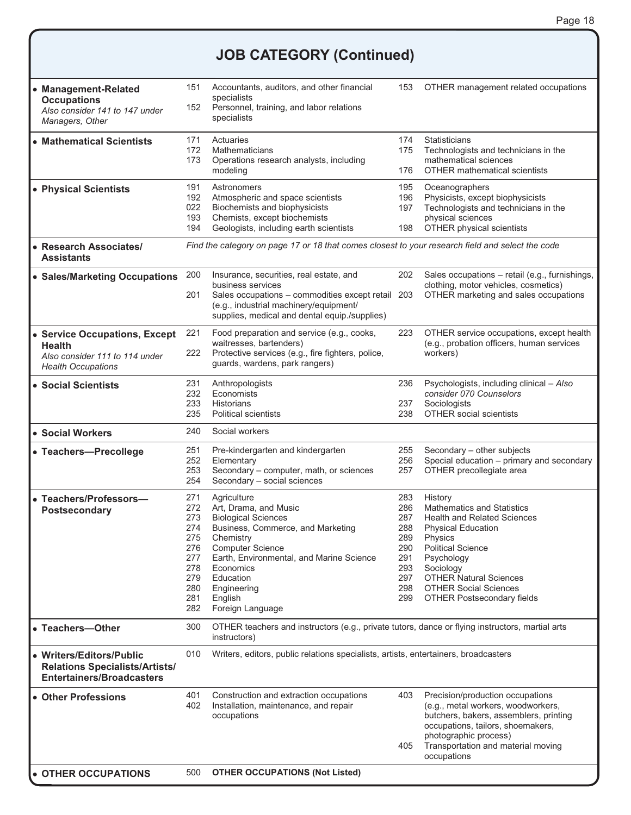# **JOB CATEGORY (Continued)**

| • Management-Related<br><b>Occupations</b><br>Also consider 141 to 147 under<br>Managers, Other        | 151<br>152                                                                       | Accountants, auditors, and other financial<br>specialists<br>Personnel, training, and labor relations<br>specialists                                                                                                                                                | 153                                                                       | OTHER management related occupations                                                                                                                                                                                                                                                    |
|--------------------------------------------------------------------------------------------------------|----------------------------------------------------------------------------------|---------------------------------------------------------------------------------------------------------------------------------------------------------------------------------------------------------------------------------------------------------------------|---------------------------------------------------------------------------|-----------------------------------------------------------------------------------------------------------------------------------------------------------------------------------------------------------------------------------------------------------------------------------------|
| • Mathematical Scientists                                                                              | 171<br>172<br>173                                                                | Actuaries<br><b>Mathematicians</b><br>Operations research analysts, including<br>modeling                                                                                                                                                                           | 174<br>175<br>176                                                         | <b>Statisticians</b><br>Technologists and technicians in the<br>mathematical sciences<br><b>OTHER mathematical scientists</b>                                                                                                                                                           |
| • Physical Scientists                                                                                  | 191<br>192<br>022<br>193<br>194                                                  | Astronomers<br>Atmospheric and space scientists<br>Biochemists and biophysicists<br>Chemists, except biochemists<br>Geologists, including earth scientists                                                                                                          | 195<br>196<br>197<br>198                                                  | Oceanographers<br>Physicists, except biophysicists<br>Technologists and technicians in the<br>physical sciences<br>OTHER physical scientists                                                                                                                                            |
| • Research Associates/<br>Assistants                                                                   |                                                                                  | Find the category on page 17 or 18 that comes closest to your research field and select the code                                                                                                                                                                    |                                                                           |                                                                                                                                                                                                                                                                                         |
| • Sales/Marketing Occupations                                                                          | 200<br>201                                                                       | Insurance, securities, real estate, and<br>business services<br>Sales occupations - commodities except retail 203<br>(e.g., industrial machinery/equipment/<br>supplies, medical and dental equip./supplies)                                                        | 202                                                                       | Sales occupations - retail (e.g., furnishings,<br>clothing, motor vehicles, cosmetics)<br>OTHER marketing and sales occupations                                                                                                                                                         |
| • Service Occupations, Except<br>Health<br>Also consider 111 to 114 under<br><b>Health Occupations</b> | 221<br>222                                                                       | Food preparation and service (e.g., cooks,<br>waitresses, bartenders)<br>Protective services (e.g., fire fighters, police,<br>guards, wardens, park rangers)                                                                                                        | 223                                                                       | OTHER service occupations, except health<br>(e.g., probation officers, human services<br>workers)                                                                                                                                                                                       |
| • Social Scientists                                                                                    | 231<br>232<br>233<br>235                                                         | Anthropologists<br>Economists<br><b>Historians</b><br><b>Political scientists</b>                                                                                                                                                                                   | 236<br>237<br>238                                                         | Psychologists, including clinical - Also<br>consider 070 Counselors<br>Sociologists<br><b>OTHER social scientists</b>                                                                                                                                                                   |
| <b>• Social Workers</b>                                                                                | 240                                                                              | Social workers                                                                                                                                                                                                                                                      |                                                                           |                                                                                                                                                                                                                                                                                         |
| • Teachers-Precollege                                                                                  | 251<br>252<br>253<br>254                                                         | Pre-kindergarten and kindergarten<br>Elementary<br>Secondary - computer, math, or sciences<br>Secondary - social sciences                                                                                                                                           | 255<br>256<br>257                                                         | Secondary - other subjects<br>Special education - primary and secondary<br>OTHER precollegiate area                                                                                                                                                                                     |
| Teachers/Professors-<br><b>Postsecondary</b>                                                           | 271<br>272<br>273<br>274<br>275<br>276<br>277<br>278<br>279<br>280<br>281<br>282 | Agriculture<br>Art, Drama, and Music<br><b>Biological Sciences</b><br>Business, Commerce, and Marketing<br>Chemistry<br><b>Computer Science</b><br>Earth, Environmental, and Marine Science<br>Economics<br>Education<br>Engineering<br>English<br>Foreign Language | 283<br>286<br>287<br>288<br>289<br>290<br>291<br>293<br>297<br>298<br>299 | History<br><b>Mathematics and Statistics</b><br><b>Health and Related Sciences</b><br><b>Physical Education</b><br>Physics<br><b>Political Science</b><br>Psychology<br>Sociology<br><b>OTHER Natural Sciences</b><br><b>OTHER Social Sciences</b><br><b>OTHER Postsecondary fields</b> |
| • Teachers-Other                                                                                       | 300                                                                              | OTHER teachers and instructors (e.g., private tutors, dance or flying instructors, martial arts<br>instructors)                                                                                                                                                     |                                                                           |                                                                                                                                                                                                                                                                                         |
| • Writers/Editors/Public<br><b>Relations Specialists/Artists/</b><br><b>Entertainers/Broadcasters</b>  | 010                                                                              | Writers, editors, public relations specialists, artists, entertainers, broadcasters                                                                                                                                                                                 |                                                                           |                                                                                                                                                                                                                                                                                         |
| • Other Professions                                                                                    | 401<br>402                                                                       | Construction and extraction occupations<br>Installation, maintenance, and repair<br>occupations                                                                                                                                                                     | 403<br>405                                                                | Precision/production occupations<br>(e.g., metal workers, woodworkers,<br>butchers, bakers, assemblers, printing<br>occupations, tailors, shoemakers,<br>photographic process)<br>Transportation and material moving<br>occupations                                                     |
| • OTHER OCCUPATIONS                                                                                    | 500                                                                              | <b>OTHER OCCUPATIONS (Not Listed)</b>                                                                                                                                                                                                                               |                                                                           |                                                                                                                                                                                                                                                                                         |